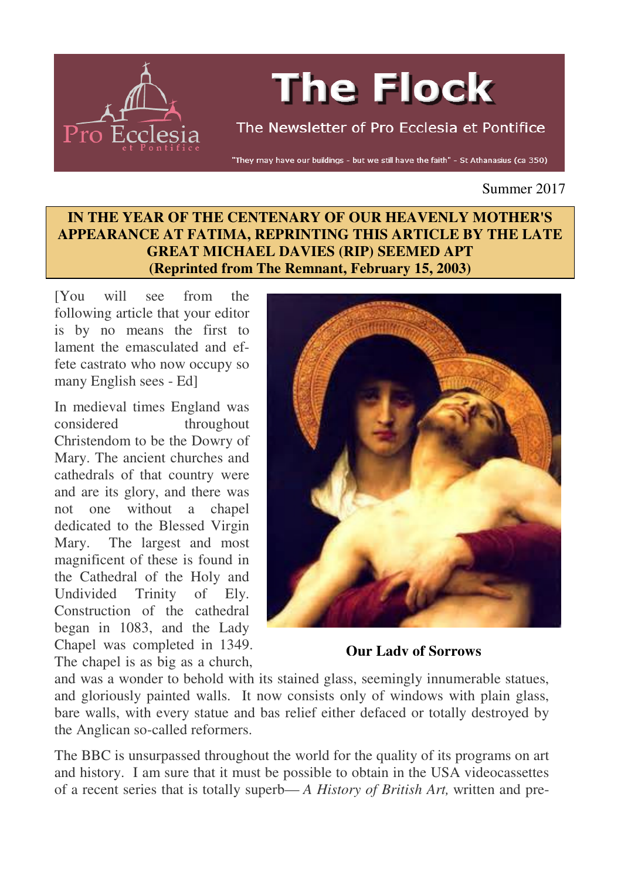

# **The Flock**

The Newsletter of Pro Ecclesia et Pontifice

"They may have our buildings - but we still have the faith" - St Athanasius (ca 350)

Summer 2017

#### **IN THE YEAR OF THE CENTENARY OF OUR HEAVENLY MOTHER'S APPEARANCE AT FATIMA, REPRINTING THIS ARTICLE BY THE LATE GREAT MICHAEL DAVIES (RIP) SEEMED APT (Reprinted from The Remnant, February 15, 2003)**

[You will see from the following article that your editor is by no means the first to lament the emasculated and effete castrato who now occupy so many English sees - Ed]

In medieval times England was considered throughout Christendom to be the Dowry of Mary. The ancient churches and cathedrals of that country were and are its glory, and there was not one without a chapel dedicated to the Blessed Virgin Mary. The largest and most magnificent of these is found in the Cathedral of the Holy and Undivided Trinity of Ely. Construction of the cathedral began in 1083, and the Lady Chapel was completed in 1349. The chapel is as big as a church,



**Our Lady of Sorrows**

and was a wonder to behold with its stained glass, seemingly innumerable statues, and gloriously painted walls. It now consists only of windows with plain glass, bare walls, with every statue and bas relief either defaced or totally destroyed by the Anglican so-called reformers.

The BBC is unsurpassed throughout the world for the quality of its programs on art and history. I am sure that it must be possible to obtain in the USA videocassettes of a recent series that is totally superb— *A History of British Art,* written and pre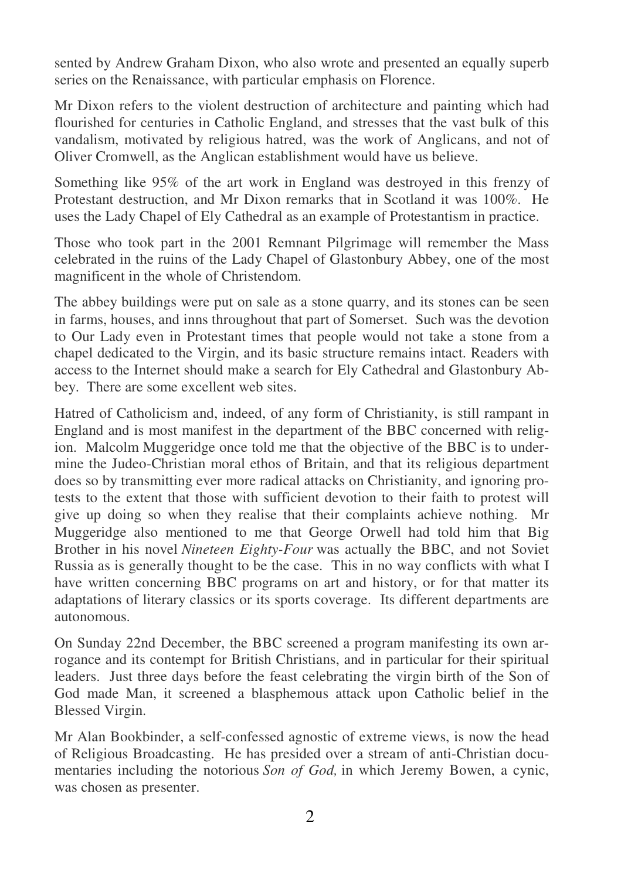sented by Andrew Graham Dixon, who also wrote and presented an equally superb series on the Renaissance, with particular emphasis on Florence.

Mr Dixon refers to the violent destruction of architecture and painting which had flourished for centuries in Catholic England, and stresses that the vast bulk of this vandalism, motivated by religious hatred, was the work of Anglicans, and not of Oliver Cromwell, as the Anglican establishment would have us believe.

Something like 95% of the art work in England was destroyed in this frenzy of Protestant destruction, and Mr Dixon remarks that in Scotland it was 100%. He uses the Lady Chapel of Ely Cathedral as an example of Protestantism in practice.

Those who took part in the 2001 Remnant Pilgrimage will remember the Mass celebrated in the ruins of the Lady Chapel of Glastonbury Abbey, one of the most magnificent in the whole of Christendom.

The abbey buildings were put on sale as a stone quarry, and its stones can be seen in farms, houses, and inns throughout that part of Somerset. Such was the devotion to Our Lady even in Protestant times that people would not take a stone from a chapel dedicated to the Virgin, and its basic structure remains intact. Readers with access to the Internet should make a search for Ely Cathedral and Glastonbury Abbey. There are some excellent web sites.

Hatred of Catholicism and, indeed, of any form of Christianity, is still rampant in England and is most manifest in the department of the BBC concerned with religion. Malcolm Muggeridge once told me that the objective of the BBC is to undermine the Judeo-Christian moral ethos of Britain, and that its religious department does so by transmitting ever more radical attacks on Christianity, and ignoring protests to the extent that those with sufficient devotion to their faith to protest will give up doing so when they realise that their complaints achieve nothing. Mr Muggeridge also mentioned to me that George Orwell had told him that Big Brother in his novel *Nineteen Eighty-Four* was actually the BBC, and not Soviet Russia as is generally thought to be the case. This in no way conflicts with what I have written concerning BBC programs on art and history, or for that matter its adaptations of literary classics or its sports coverage. Its different departments are autonomous.

On Sunday 22nd December, the BBC screened a program manifesting its own arrogance and its contempt for British Christians, and in particular for their spiritual leaders. Just three days before the feast celebrating the virgin birth of the Son of God made Man, it screened a blasphemous attack upon Catholic belief in the Blessed Virgin.

Mr Alan Bookbinder, a self-confessed agnostic of extreme views, is now the head of Religious Broadcasting. He has presided over a stream of anti-Christian documentaries including the notorious *Son of God,* in which Jeremy Bowen, a cynic, was chosen as presenter.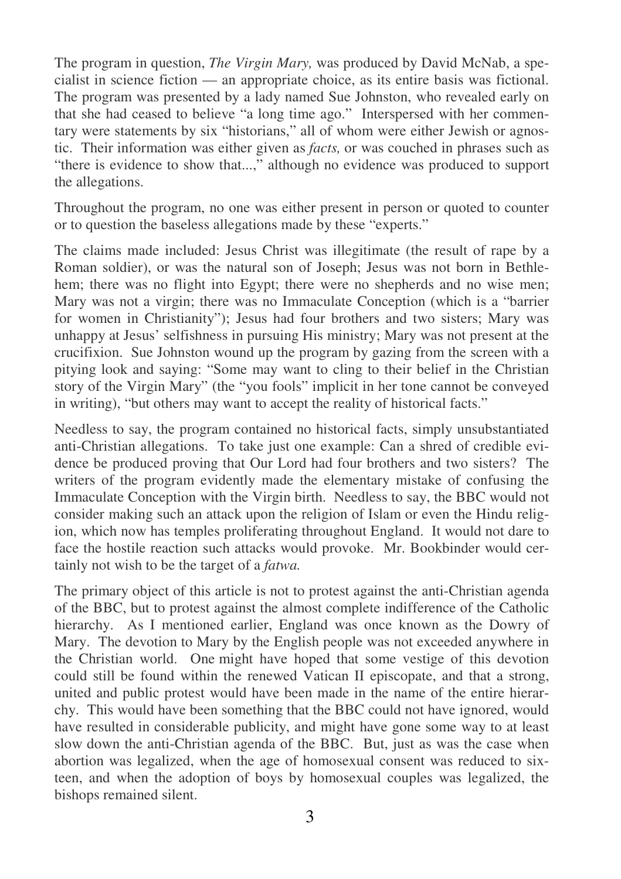The program in question, *The Virgin Mary,* was produced by David McNab, a specialist in science fiction — an appropriate choice, as its entire basis was fictional. The program was presented by a lady named Sue Johnston, who revealed early on that she had ceased to believe "a long time ago." Interspersed with her commentary were statements by six "historians," all of whom were either Jewish or agnostic. Their information was either given as *facts,* or was couched in phrases such as "there is evidence to show that...," although no evidence was produced to support the allegations.

Throughout the program, no one was either present in person or quoted to counter or to question the baseless allegations made by these "experts."

The claims made included: Jesus Christ was illegitimate (the result of rape by a Roman soldier), or was the natural son of Joseph; Jesus was not born in Bethlehem; there was no flight into Egypt; there were no shepherds and no wise men; Mary was not a virgin; there was no Immaculate Conception (which is a "barrier for women in Christianity"); Jesus had four brothers and two sisters; Mary was unhappy at Jesus' selfishness in pursuing His ministry; Mary was not present at the crucifixion. Sue Johnston wound up the program by gazing from the screen with a pitying look and saying: "Some may want to cling to their belief in the Christian story of the Virgin Mary" (the "you fools" implicit in her tone cannot be conveyed in writing), "but others may want to accept the reality of historical facts."

Needless to say, the program contained no historical facts, simply unsubstantiated anti-Christian allegations. To take just one example: Can a shred of credible evidence be produced proving that Our Lord had four brothers and two sisters? The writers of the program evidently made the elementary mistake of confusing the Immaculate Conception with the Virgin birth. Needless to say, the BBC would not consider making such an attack upon the religion of Islam or even the Hindu religion, which now has temples proliferating throughout England. It would not dare to face the hostile reaction such attacks would provoke. Mr. Bookbinder would certainly not wish to be the target of a *fatwa.*

The primary object of this article is not to protest against the anti-Christian agenda of the BBC, but to protest against the almost complete indifference of the Catholic hierarchy. As I mentioned earlier, England was once known as the Dowry of Mary. The devotion to Mary by the English people was not exceeded anywhere in the Christian world. One might have hoped that some vestige of this devotion could still be found within the renewed Vatican II episcopate, and that a strong, united and public protest would have been made in the name of the entire hierarchy. This would have been something that the BBC could not have ignored, would have resulted in considerable publicity, and might have gone some way to at least slow down the anti-Christian agenda of the BBC. But, just as was the case when abortion was legalized, when the age of homosexual consent was reduced to sixteen, and when the adoption of boys by homosexual couples was legalized, the bishops remained silent.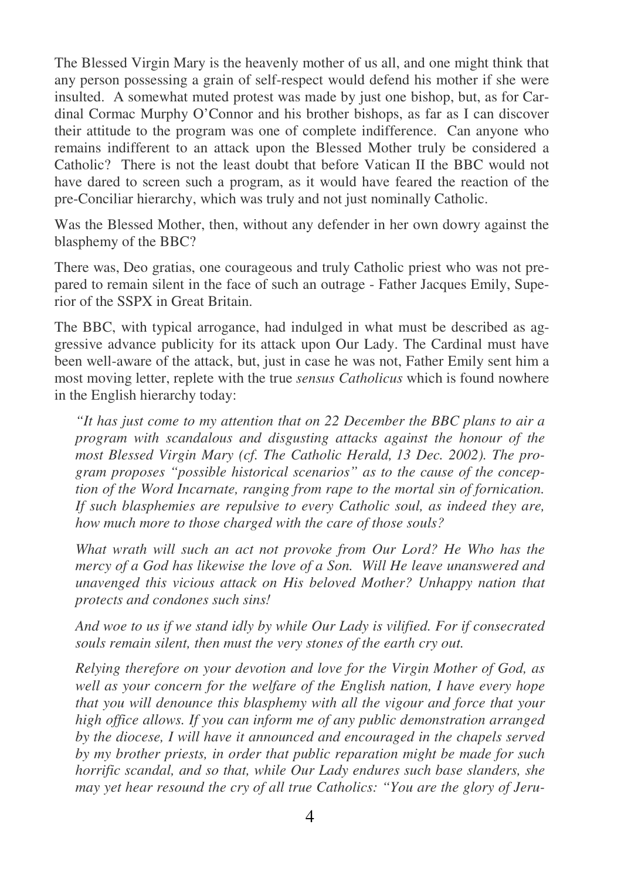The Blessed Virgin Mary is the heavenly mother of us all, and one might think that any person possessing a grain of self-respect would defend his mother if she were insulted. A somewhat muted protest was made by just one bishop, but, as for Cardinal Cormac Murphy O'Connor and his brother bishops, as far as I can discover their attitude to the program was one of complete indifference. Can anyone who remains indifferent to an attack upon the Blessed Mother truly be considered a Catholic? There is not the least doubt that before Vatican II the BBC would not have dared to screen such a program, as it would have feared the reaction of the pre-Conciliar hierarchy, which was truly and not just nominally Catholic.

Was the Blessed Mother, then, without any defender in her own dowry against the blasphemy of the BBC?

There was, Deo gratias, one courageous and truly Catholic priest who was not prepared to remain silent in the face of such an outrage - Father Jacques Emily, Superior of the SSPX in Great Britain.

The BBC, with typical arrogance, had indulged in what must be described as aggressive advance publicity for its attack upon Our Lady. The Cardinal must have been well-aware of the attack, but, just in case he was not, Father Emily sent him a most moving letter, replete with the true *sensus Catholicus* which is found nowhere in the English hierarchy today:

*"It has just come to my attention that on 22 December the BBC plans to air a program with scandalous and disgusting attacks against the honour of the most Blessed Virgin Mary (cf. The Catholic Herald, 13 Dec. 2002). The program proposes "possible historical scenarios" as to the cause of the conception of the Word Incarnate, ranging from rape to the mortal sin of fornication. If such blasphemies are repulsive to every Catholic soul, as indeed they are, how much more to those charged with the care of those souls?* 

*What wrath will such an act not provoke from Our Lord? He Who has the mercy of a God has likewise the love of a Son. Will He leave unanswered and unavenged this vicious attack on His beloved Mother? Unhappy nation that protects and condones such sins!* 

*And woe to us if we stand idly by while Our Lady is vilified. For if consecrated souls remain silent, then must the very stones of the earth cry out.* 

*Relying therefore on your devotion and love for the Virgin Mother of God, as well as your concern for the welfare of the English nation, I have every hope that you will denounce this blasphemy with all the vigour and force that your high office allows. If you can inform me of any public demonstration arranged by the diocese, I will have it announced and encouraged in the chapels served by my brother priests, in order that public reparation might be made for such horrific scandal, and so that, while Our Lady endures such base slanders, she may yet hear resound the cry of all true Catholics: "You are the glory of Jeru-*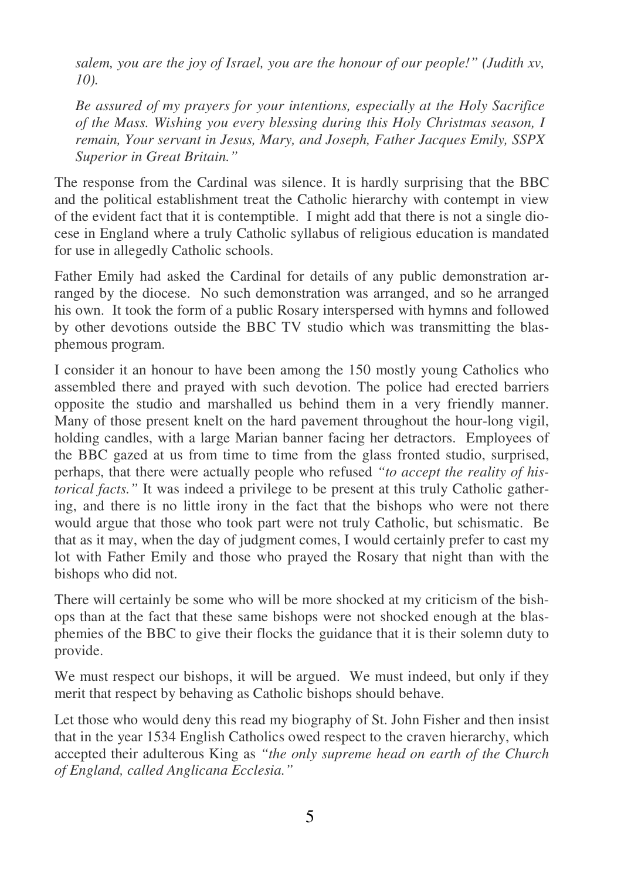*salem, you are the joy of Israel, you are the honour of our people!" (Judith xv, 10).* 

*Be assured of my prayers for your intentions, especially at the Holy Sacrifice of the Mass. Wishing you every blessing during this Holy Christmas season, I remain, Your servant in Jesus, Mary, and Joseph, Father Jacques Emily, SSPX Superior in Great Britain."* 

The response from the Cardinal was silence. It is hardly surprising that the BBC and the political establishment treat the Catholic hierarchy with contempt in view of the evident fact that it is contemptible. I might add that there is not a single diocese in England where a truly Catholic syllabus of religious education is mandated for use in allegedly Catholic schools.

Father Emily had asked the Cardinal for details of any public demonstration arranged by the diocese. No such demonstration was arranged, and so he arranged his own. It took the form of a public Rosary interspersed with hymns and followed by other devotions outside the BBC TV studio which was transmitting the blasphemous program.

I consider it an honour to have been among the 150 mostly young Catholics who assembled there and prayed with such devotion. The police had erected barriers opposite the studio and marshalled us behind them in a very friendly manner. Many of those present knelt on the hard pavement throughout the hour-long vigil, holding candles, with a large Marian banner facing her detractors. Employees of the BBC gazed at us from time to time from the glass fronted studio, surprised, perhaps, that there were actually people who refused *"to accept the reality of historical facts."* It was indeed a privilege to be present at this truly Catholic gathering, and there is no little irony in the fact that the bishops who were not there would argue that those who took part were not truly Catholic, but schismatic. Be that as it may, when the day of judgment comes, I would certainly prefer to cast my lot with Father Emily and those who prayed the Rosary that night than with the bishops who did not.

There will certainly be some who will be more shocked at my criticism of the bishops than at the fact that these same bishops were not shocked enough at the blasphemies of the BBC to give their flocks the guidance that it is their solemn duty to provide.

We must respect our bishops, it will be argued. We must indeed, but only if they merit that respect by behaving as Catholic bishops should behave.

Let those who would deny this read my biography of St. John Fisher and then insist that in the year 1534 English Catholics owed respect to the craven hierarchy, which accepted their adulterous King as *"the only supreme head on earth of the Church of England, called Anglicana Ecclesia."*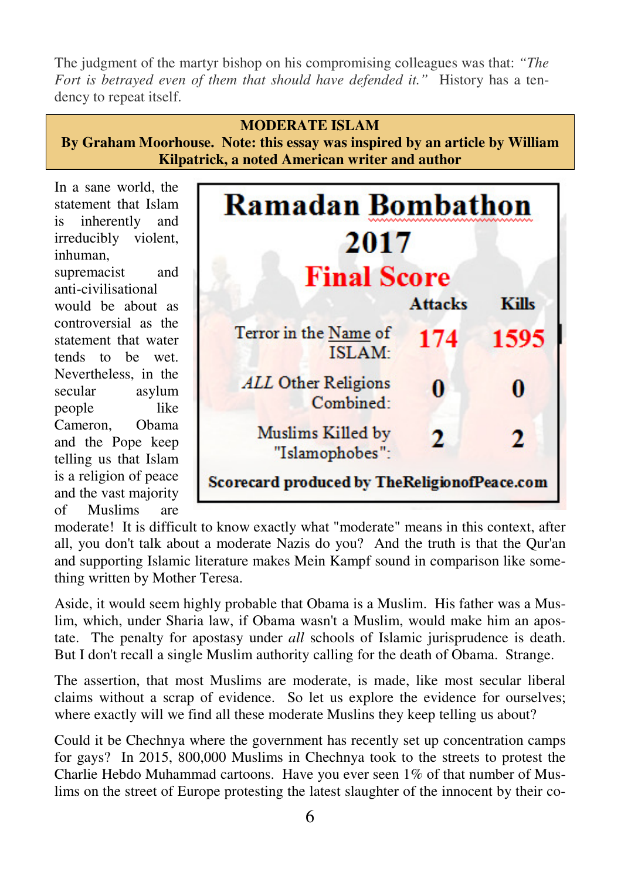The judgment of the martyr bishop on his compromising colleagues was that: *"The Fort is betrayed even of them that should have defended it."* History has a tendency to repeat itself.

# **MODERATE ISLAM By Graham Moorhouse. Note: this essay was inspired by an article by William Kilpatrick, a noted American writer and author**

In a sane world, the statement that Islam is inherently and irreducibly violent, inhuman,

supremacist and anti-civilisational would be about as controversial as the statement that water tends to be wet. Nevertheless, in the secular asylum people like Cameron, Obama and the Pope keep telling us that Islam is a religion of peace and the vast majority of Muslims are



moderate! It is difficult to know exactly what "moderate" means in this context, after all, you don't talk about a moderate Nazis do you? And the truth is that the Qur'an and supporting Islamic literature makes Mein Kampf sound in comparison like something written by Mother Teresa.

Aside, it would seem highly probable that Obama is a Muslim. His father was a Muslim, which, under Sharia law, if Obama wasn't a Muslim, would make him an apostate. The penalty for apostasy under *all* schools of Islamic jurisprudence is death. But I don't recall a single Muslim authority calling for the death of Obama. Strange.

The assertion, that most Muslims are moderate, is made, like most secular liberal claims without a scrap of evidence. So let us explore the evidence for ourselves; where exactly will we find all these moderate Muslins they keep telling us about?

Could it be Chechnya where the government has recently set up concentration camps for gays? In 2015, 800,000 Muslims in Chechnya took to the streets to protest the Charlie Hebdo Muhammad cartoons. Have you ever seen 1% of that number of Muslims on the street of Europe protesting the latest slaughter of the innocent by their co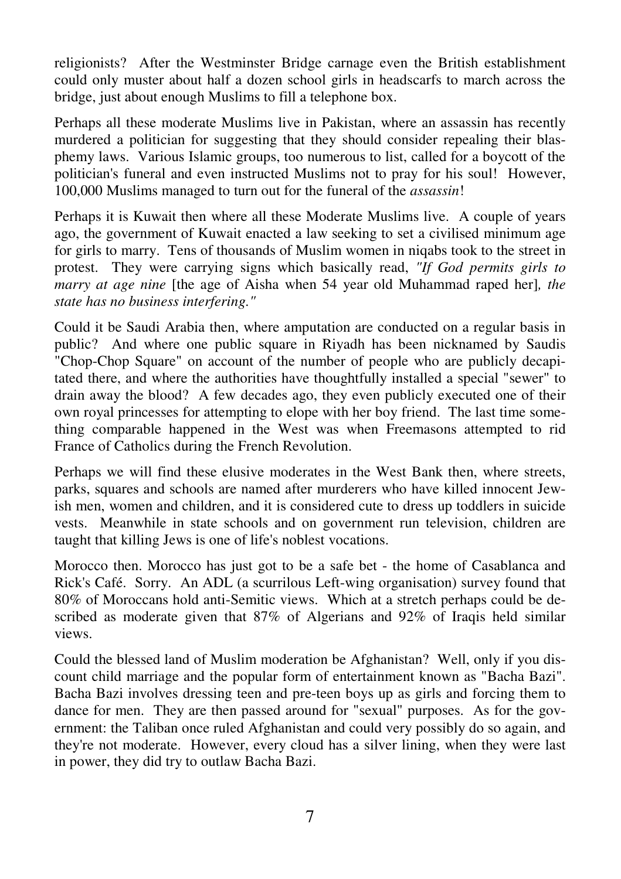religionists? After the Westminster Bridge carnage even the British establishment could only muster about half a dozen school girls in headscarfs to march across the bridge, just about enough Muslims to fill a telephone box.

Perhaps all these moderate Muslims live in Pakistan, where an assassin has recently murdered a politician for suggesting that they should consider repealing their blasphemy laws. Various Islamic groups, too numerous to list, called for a boycott of the politician's funeral and even instructed Muslims not to pray for his soul! However, 100,000 Muslims managed to turn out for the funeral of the *assassin*!

Perhaps it is Kuwait then where all these Moderate Muslims live. A couple of years ago, the government of Kuwait enacted a law seeking to set a civilised minimum age for girls to marry. Tens of thousands of Muslim women in niqabs took to the street in protest. They were carrying signs which basically read, *"If God permits girls to marry at age nine* [the age of Aisha when 54 year old Muhammad raped her]*, the state has no business interfering."* 

Could it be Saudi Arabia then, where amputation are conducted on a regular basis in public? And where one public square in Riyadh has been nicknamed by Saudis "Chop-Chop Square" on account of the number of people who are publicly decapitated there, and where the authorities have thoughtfully installed a special "sewer" to drain away the blood? A few decades ago, they even publicly executed one of their own royal princesses for attempting to elope with her boy friend. The last time something comparable happened in the West was when Freemasons attempted to rid France of Catholics during the French Revolution.

Perhaps we will find these elusive moderates in the West Bank then, where streets, parks, squares and schools are named after murderers who have killed innocent Jewish men, women and children, and it is considered cute to dress up toddlers in suicide vests. Meanwhile in state schools and on government run television, children are taught that killing Jews is one of life's noblest vocations.

Morocco then. Morocco has just got to be a safe bet - the home of Casablanca and Rick's Café. Sorry. An ADL (a scurrilous Left-wing organisation) survey found that 80% of Moroccans hold anti-Semitic views. Which at a stretch perhaps could be described as moderate given that 87% of Algerians and 92% of Iraqis held similar views.

Could the blessed land of Muslim moderation be Afghanistan? Well, only if you discount child marriage and the popular form of entertainment known as "Bacha Bazi". Bacha Bazi involves dressing teen and pre-teen boys up as girls and forcing them to dance for men. They are then passed around for "sexual" purposes. As for the government: the Taliban once ruled Afghanistan and could very possibly do so again, and they're not moderate. However, every cloud has a silver lining, when they were last in power, they did try to outlaw Bacha Bazi.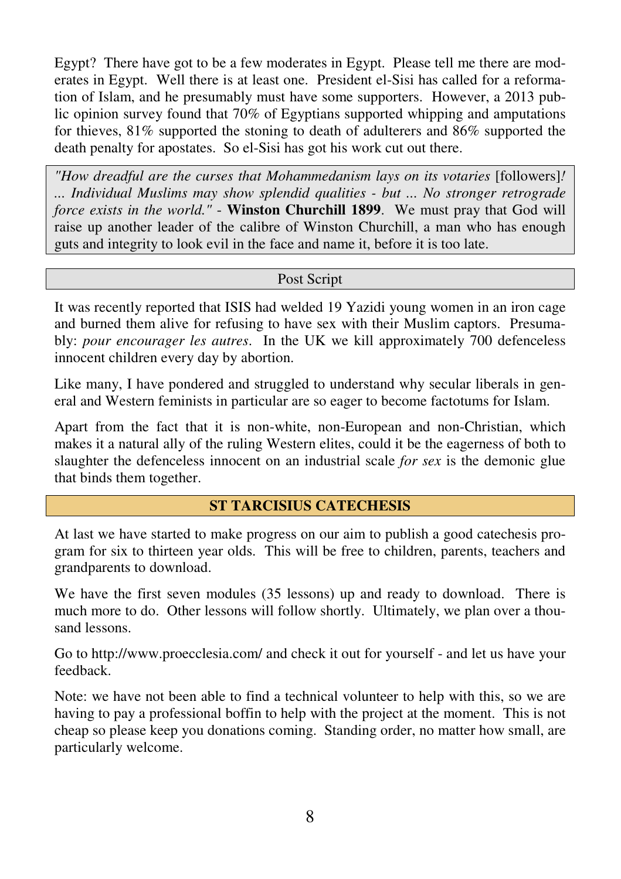Egypt? There have got to be a few moderates in Egypt. Please tell me there are moderates in Egypt. Well there is at least one. President el-Sisi has called for a reformation of Islam, and he presumably must have some supporters. However, a 2013 public opinion survey found that 70% of Egyptians supported whipping and amputations for thieves, 81% supported the stoning to death of adulterers and 86% supported the death penalty for apostates. So el-Sisi has got his work cut out there.

*"How dreadful are the curses that Mohammedanism lays on its votaries* [followers]*! ... Individual Muslims may show splendid qualities - but ... No stronger retrograde force exists in the world."* - **Winston Churchill 1899**. We must pray that God will raise up another leader of the calibre of Winston Churchill, a man who has enough guts and integrity to look evil in the face and name it, before it is too late.

Post Script

It was recently reported that ISIS had welded 19 Yazidi young women in an iron cage and burned them alive for refusing to have sex with their Muslim captors. Presumably: *pour encourager les autres*. In the UK we kill approximately 700 defenceless innocent children every day by abortion.

Like many, I have pondered and struggled to understand why secular liberals in general and Western feminists in particular are so eager to become factotums for Islam.

Apart from the fact that it is non-white, non-European and non-Christian, which makes it a natural ally of the ruling Western elites, could it be the eagerness of both to slaughter the defenceless innocent on an industrial scale *for sex* is the demonic glue that binds them together.

#### **ST TARCISIUS CATECHESIS**

At last we have started to make progress on our aim to publish a good catechesis program for six to thirteen year olds. This will be free to children, parents, teachers and grandparents to download.

We have the first seven modules (35 lessons) up and ready to download. There is much more to do. Other lessons will follow shortly. Ultimately, we plan over a thousand lessons.

Go to http://www.proecclesia.com/ and check it out for yourself - and let us have your feedback.

Note: we have not been able to find a technical volunteer to help with this, so we are having to pay a professional boffin to help with the project at the moment. This is not cheap so please keep you donations coming. Standing order, no matter how small, are particularly welcome.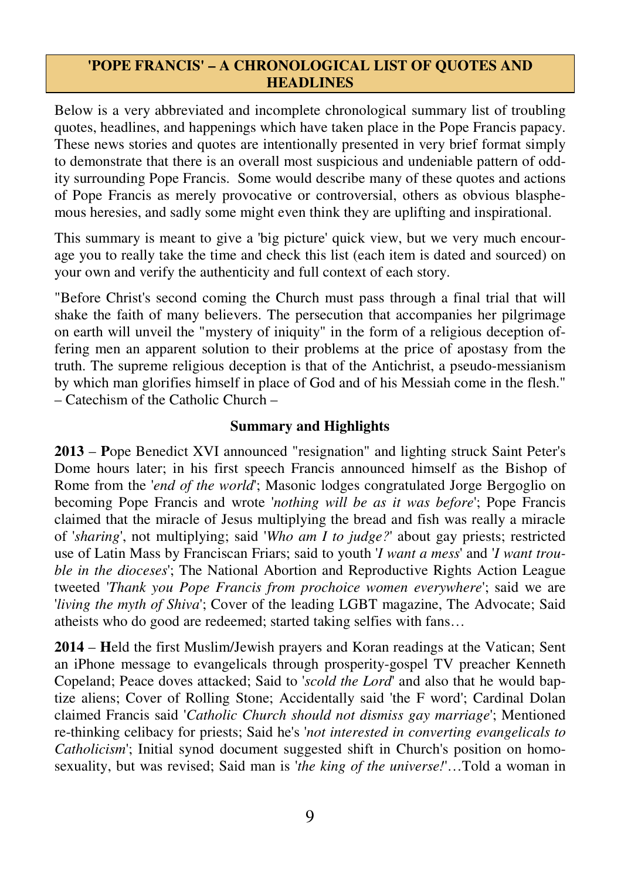#### **'POPE FRANCIS' – A CHRONOLOGICAL LIST OF QUOTES AND HEADLINES**

Below is a very abbreviated and incomplete chronological summary list of troubling quotes, headlines, and happenings which have taken place in the Pope Francis papacy. These news stories and quotes are intentionally presented in very brief format simply to demonstrate that there is an overall most suspicious and undeniable pattern of oddity surrounding Pope Francis. Some would describe many of these quotes and actions of Pope Francis as merely provocative or controversial, others as obvious blasphemous heresies, and sadly some might even think they are uplifting and inspirational.

This summary is meant to give a 'big picture' quick view, but we very much encourage you to really take the time and check this list (each item is dated and sourced) on your own and verify the authenticity and full context of each story.

"Before Christ's second coming the Church must pass through a final trial that will shake the faith of many believers. The persecution that accompanies her pilgrimage on earth will unveil the "mystery of iniquity" in the form of a religious deception offering men an apparent solution to their problems at the price of apostasy from the truth. The supreme religious deception is that of the Antichrist, a pseudo-messianism by which man glorifies himself in place of God and of his Messiah come in the flesh." – Catechism of the Catholic Church –

#### **Summary and Highlights**

**2013** – **P**ope Benedict XVI announced "resignation" and lighting struck Saint Peter's Dome hours later; in his first speech Francis announced himself as the Bishop of Rome from the '*end of the world*'; Masonic lodges congratulated Jorge Bergoglio on becoming Pope Francis and wrote '*nothing will be as it was before*'; Pope Francis claimed that the miracle of Jesus multiplying the bread and fish was really a miracle of '*sharing*', not multiplying; said '*Who am I to judge?*' about gay priests; restricted use of Latin Mass by Franciscan Friars; said to youth '*I want a mess*' and '*I want trouble in the dioceses*'; The National Abortion and Reproductive Rights Action League tweeted '*Thank you Pope Francis from prochoice women everywhere*'; said we are '*living the myth of Shiva*'; Cover of the leading LGBT magazine, The Advocate; Said atheists who do good are redeemed; started taking selfies with fans…

**2014** – **H**eld the first Muslim/Jewish prayers and Koran readings at the Vatican; Sent an iPhone message to evangelicals through prosperity-gospel TV preacher Kenneth Copeland; Peace doves attacked; Said to '*scold the Lord*' and also that he would baptize aliens; Cover of Rolling Stone; Accidentally said 'the F word'; Cardinal Dolan claimed Francis said '*Catholic Church should not dismiss gay marriage*'; Mentioned re-thinking celibacy for priests; Said he's '*not interested in converting evangelicals to Catholicism*'; Initial synod document suggested shift in Church's position on homosexuality, but was revised; Said man is '*the king of the universe!*'…Told a woman in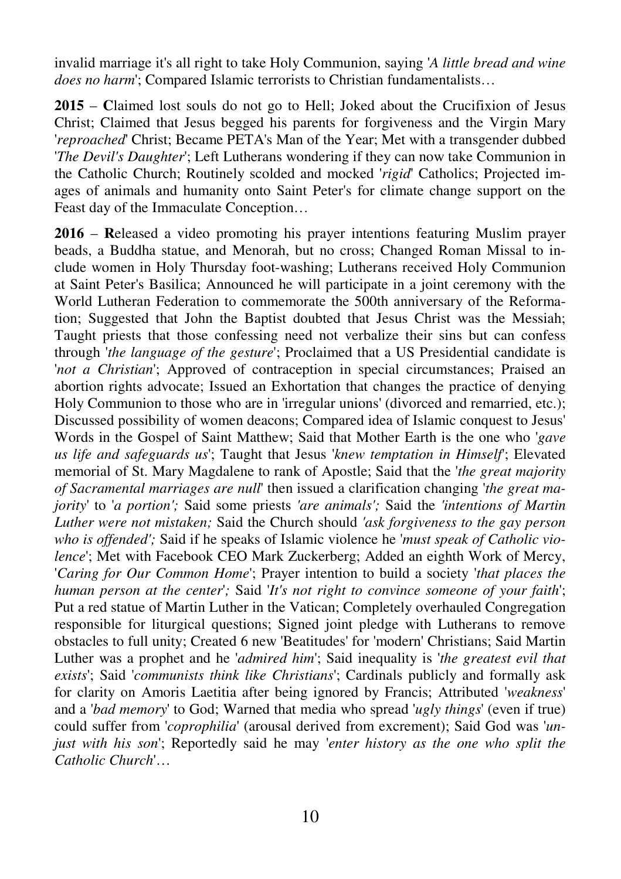invalid marriage it's all right to take Holy Communion, saying '*A little bread and wine does no harm*'; Compared Islamic terrorists to Christian fundamentalists…

**2015** – **C**laimed lost souls do not go to Hell; Joked about the Crucifixion of Jesus Christ; Claimed that Jesus begged his parents for forgiveness and the Virgin Mary '*reproached*' Christ; Became PETA's Man of the Year; Met with a transgender dubbed '*The Devil's Daughter*'; Left Lutherans wondering if they can now take Communion in the Catholic Church; Routinely scolded and mocked '*rigid*' Catholics; Projected images of animals and humanity onto Saint Peter's for climate change support on the Feast day of the Immaculate Conception…

**2016** – **R**eleased a video promoting his prayer intentions featuring Muslim prayer beads, a Buddha statue, and Menorah, but no cross; Changed Roman Missal to include women in Holy Thursday foot-washing; Lutherans received Holy Communion at Saint Peter's Basilica; Announced he will participate in a joint ceremony with the World Lutheran Federation to commemorate the 500th anniversary of the Reformation; Suggested that John the Baptist doubted that Jesus Christ was the Messiah; Taught priests that those confessing need not verbalize their sins but can confess through '*the language of the gesture*'; Proclaimed that a US Presidential candidate is '*not a Christian*'; Approved of contraception in special circumstances; Praised an abortion rights advocate; Issued an Exhortation that changes the practice of denying Holy Communion to those who are in 'irregular unions' (divorced and remarried, etc.); Discussed possibility of women deacons; Compared idea of Islamic conquest to Jesus' Words in the Gospel of Saint Matthew; Said that Mother Earth is the one who '*gave us life and safeguards us*'; Taught that Jesus '*knew temptation in Himself*'; Elevated memorial of St. Mary Magdalene to rank of Apostle; Said that the '*the great majority of Sacramental marriages are null*' then issued a clarification changing '*the great majority*' to '*a portion';* Said some priests *'are animals';* Said the *'intentions of Martin Luther were not mistaken;* Said the Church should *'ask forgiveness to the gay person who is offended';* Said if he speaks of Islamic violence he '*must speak of Catholic violence*'; Met with Facebook CEO Mark Zuckerberg; Added an eighth Work of Mercy, '*Caring for Our Common Home*'; Prayer intention to build a society '*that places the human person at the center*'*;* Said '*It's not right to convince someone of your faith*'; Put a red statue of Martin Luther in the Vatican; Completely overhauled Congregation responsible for liturgical questions; Signed joint pledge with Lutherans to remove obstacles to full unity; Created 6 new 'Beatitudes' for 'modern' Christians; Said Martin Luther was a prophet and he '*admired him*'; Said inequality is '*the greatest evil that exists*'; Said '*communists think like Christians*'; Cardinals publicly and formally ask for clarity on Amoris Laetitia after being ignored by Francis; Attributed '*weakness*' and a '*bad memory*' to God; Warned that media who spread '*ugly things*' (even if true) could suffer from '*coprophilia*' (arousal derived from excrement); Said God was '*unjust with his son*'; Reportedly said he may '*enter history as the one who split the Catholic Church*'…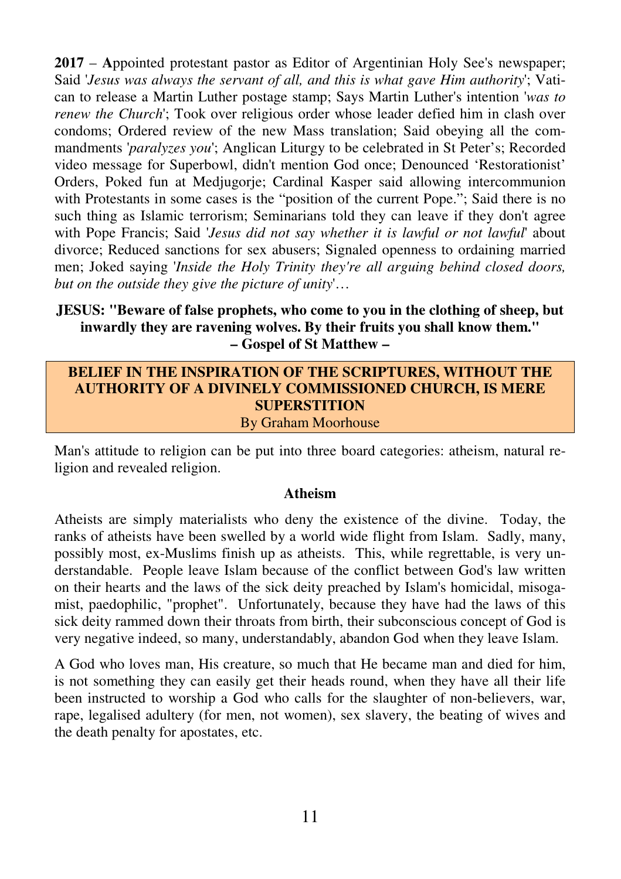**2017** – **A**ppointed protestant pastor as Editor of Argentinian Holy See's newspaper; Said '*Jesus was always the servant of all, and this is what gave Him authority*'; Vatican to release a Martin Luther postage stamp; Says Martin Luther's intention '*was to renew the Church*'; Took over religious order whose leader defied him in clash over condoms; Ordered review of the new Mass translation; Said obeying all the commandments '*paralyzes you*'; Anglican Liturgy to be celebrated in St Peter's; Recorded video message for Superbowl, didn't mention God once; Denounced 'Restorationist' Orders, Poked fun at Medjugorje; Cardinal Kasper said allowing intercommunion with Protestants in some cases is the "position of the current Pope."; Said there is no such thing as Islamic terrorism; Seminarians told they can leave if they don't agree with Pope Francis; Said '*Jesus did not say whether it is lawful or not lawful*' about divorce; Reduced sanctions for sex abusers; Signaled openness to ordaining married men; Joked saying '*Inside the Holy Trinity they're all arguing behind closed doors, but on the outside they give the picture of unity*'…

#### **JESUS: "Beware of false prophets, who come to you in the clothing of sheep, but inwardly they are ravening wolves. By their fruits you shall know them." – Gospel of St Matthew –**

#### **BELIEF IN THE INSPIRATION OF THE SCRIPTURES, WITHOUT THE AUTHORITY OF A DIVINELY COMMISSIONED CHURCH, IS MERE SUPERSTITION**  By Graham Moorhouse

Man's attitude to religion can be put into three board categories: atheism, natural religion and revealed religion.

#### **Atheism**

Atheists are simply materialists who deny the existence of the divine. Today, the ranks of atheists have been swelled by a world wide flight from Islam. Sadly, many, possibly most, ex-Muslims finish up as atheists. This, while regrettable, is very understandable. People leave Islam because of the conflict between God's law written on their hearts and the laws of the sick deity preached by Islam's homicidal, misogamist, paedophilic, "prophet". Unfortunately, because they have had the laws of this sick deity rammed down their throats from birth, their subconscious concept of God is very negative indeed, so many, understandably, abandon God when they leave Islam.

A God who loves man, His creature, so much that He became man and died for him, is not something they can easily get their heads round, when they have all their life been instructed to worship a God who calls for the slaughter of non-believers, war, rape, legalised adultery (for men, not women), sex slavery, the beating of wives and the death penalty for apostates, etc.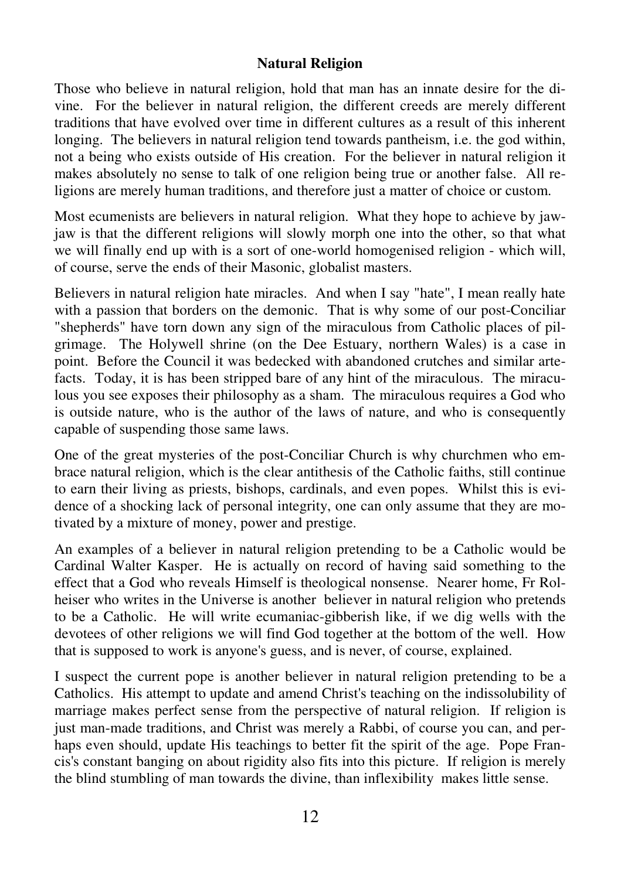#### **Natural Religion**

Those who believe in natural religion, hold that man has an innate desire for the divine. For the believer in natural religion, the different creeds are merely different traditions that have evolved over time in different cultures as a result of this inherent longing. The believers in natural religion tend towards pantheism, i.e. the god within, not a being who exists outside of His creation. For the believer in natural religion it makes absolutely no sense to talk of one religion being true or another false. All religions are merely human traditions, and therefore just a matter of choice or custom.

Most ecumenists are believers in natural religion. What they hope to achieve by jawjaw is that the different religions will slowly morph one into the other, so that what we will finally end up with is a sort of one-world homogenised religion - which will, of course, serve the ends of their Masonic, globalist masters.

Believers in natural religion hate miracles. And when I say "hate", I mean really hate with a passion that borders on the demonic. That is why some of our post-Conciliar "shepherds" have torn down any sign of the miraculous from Catholic places of pilgrimage. The Holywell shrine (on the Dee Estuary, northern Wales) is a case in point. Before the Council it was bedecked with abandoned crutches and similar artefacts. Today, it is has been stripped bare of any hint of the miraculous. The miraculous you see exposes their philosophy as a sham. The miraculous requires a God who is outside nature, who is the author of the laws of nature, and who is consequently capable of suspending those same laws.

One of the great mysteries of the post-Conciliar Church is why churchmen who embrace natural religion, which is the clear antithesis of the Catholic faiths, still continue to earn their living as priests, bishops, cardinals, and even popes. Whilst this is evidence of a shocking lack of personal integrity, one can only assume that they are motivated by a mixture of money, power and prestige.

An examples of a believer in natural religion pretending to be a Catholic would be Cardinal Walter Kasper. He is actually on record of having said something to the effect that a God who reveals Himself is theological nonsense. Nearer home, Fr Rolheiser who writes in the Universe is another believer in natural religion who pretends to be a Catholic. He will write ecumaniac-gibberish like, if we dig wells with the devotees of other religions we will find God together at the bottom of the well. How that is supposed to work is anyone's guess, and is never, of course, explained.

I suspect the current pope is another believer in natural religion pretending to be a Catholics. His attempt to update and amend Christ's teaching on the indissolubility of marriage makes perfect sense from the perspective of natural religion. If religion is just man-made traditions, and Christ was merely a Rabbi, of course you can, and perhaps even should, update His teachings to better fit the spirit of the age. Pope Francis's constant banging on about rigidity also fits into this picture. If religion is merely the blind stumbling of man towards the divine, than inflexibility makes little sense.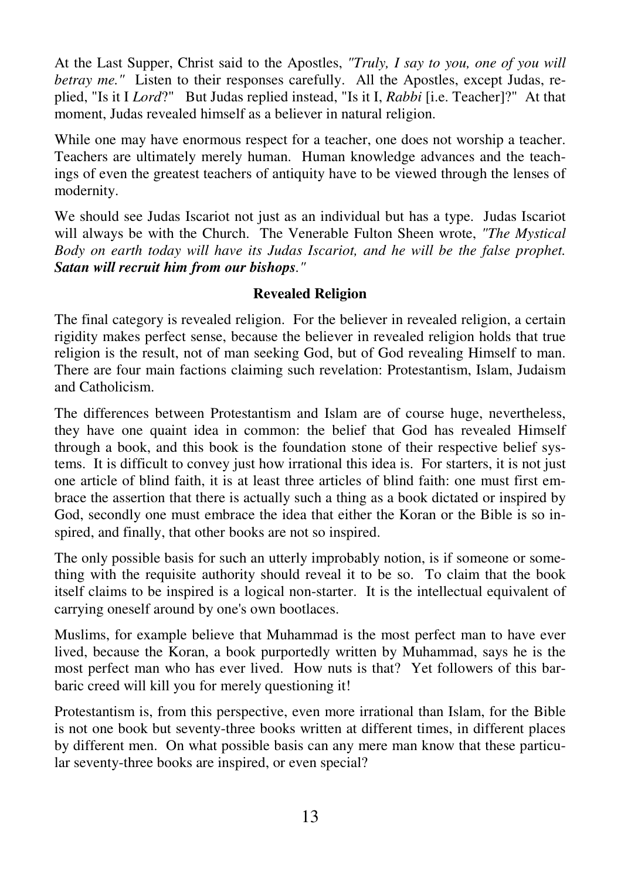At the Last Supper, Christ said to the Apostles, *"Truly, I say to you, one of you will betray me."* Listen to their responses carefully. All the Apostles, except Judas, replied, "Is it I *Lord*?" But Judas replied instead, "Is it I, *Rabbi* [i.e. Teacher]?" At that moment, Judas revealed himself as a believer in natural religion.

While one may have enormous respect for a teacher, one does not worship a teacher. Teachers are ultimately merely human. Human knowledge advances and the teachings of even the greatest teachers of antiquity have to be viewed through the lenses of modernity.

We should see Judas Iscariot not just as an individual but has a type. Judas Iscariot will always be with the Church. The Venerable Fulton Sheen wrote, *"The Mystical Body on earth today will have its Judas Iscariot, and he will be the false prophet. Satan will recruit him from our bishops."* 

#### **Revealed Religion**

The final category is revealed religion. For the believer in revealed religion, a certain rigidity makes perfect sense, because the believer in revealed religion holds that true religion is the result, not of man seeking God, but of God revealing Himself to man. There are four main factions claiming such revelation: Protestantism, Islam, Judaism and Catholicism.

The differences between Protestantism and Islam are of course huge, nevertheless, they have one quaint idea in common: the belief that God has revealed Himself through a book, and this book is the foundation stone of their respective belief systems. It is difficult to convey just how irrational this idea is. For starters, it is not just one article of blind faith, it is at least three articles of blind faith: one must first embrace the assertion that there is actually such a thing as a book dictated or inspired by God, secondly one must embrace the idea that either the Koran or the Bible is so inspired, and finally, that other books are not so inspired.

The only possible basis for such an utterly improbably notion, is if someone or something with the requisite authority should reveal it to be so. To claim that the book itself claims to be inspired is a logical non-starter. It is the intellectual equivalent of carrying oneself around by one's own bootlaces.

Muslims, for example believe that Muhammad is the most perfect man to have ever lived, because the Koran, a book purportedly written by Muhammad, says he is the most perfect man who has ever lived. How nuts is that? Yet followers of this barbaric creed will kill you for merely questioning it!

Protestantism is, from this perspective, even more irrational than Islam, for the Bible is not one book but seventy-three books written at different times, in different places by different men. On what possible basis can any mere man know that these particular seventy-three books are inspired, or even special?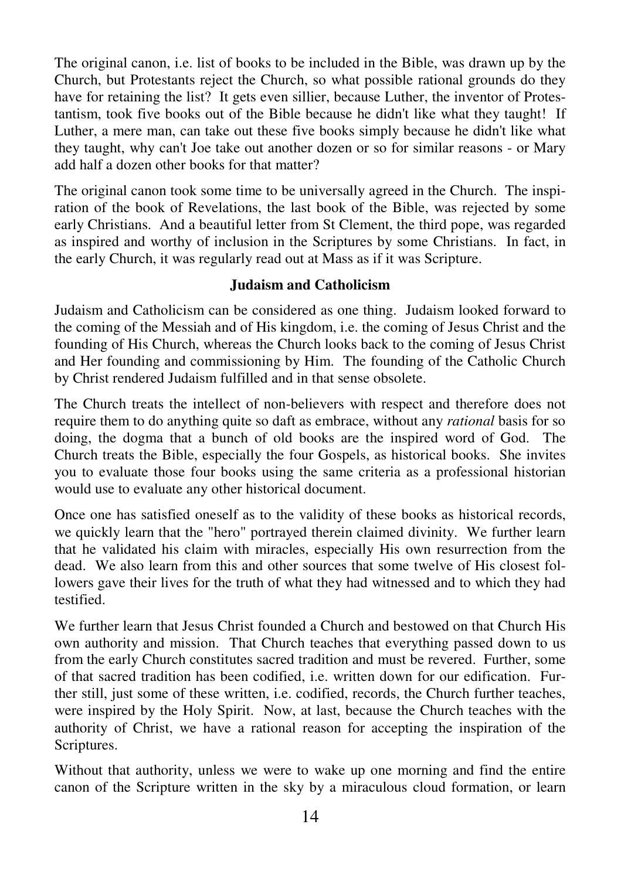The original canon, i.e. list of books to be included in the Bible, was drawn up by the Church, but Protestants reject the Church, so what possible rational grounds do they have for retaining the list? It gets even sillier, because Luther, the inventor of Protestantism, took five books out of the Bible because he didn't like what they taught! If Luther, a mere man, can take out these five books simply because he didn't like what they taught, why can't Joe take out another dozen or so for similar reasons - or Mary add half a dozen other books for that matter?

The original canon took some time to be universally agreed in the Church. The inspiration of the book of Revelations, the last book of the Bible, was rejected by some early Christians. And a beautiful letter from St Clement, the third pope, was regarded as inspired and worthy of inclusion in the Scriptures by some Christians. In fact, in the early Church, it was regularly read out at Mass as if it was Scripture.

#### **Judaism and Catholicism**

Judaism and Catholicism can be considered as one thing. Judaism looked forward to the coming of the Messiah and of His kingdom, i.e. the coming of Jesus Christ and the founding of His Church, whereas the Church looks back to the coming of Jesus Christ and Her founding and commissioning by Him. The founding of the Catholic Church by Christ rendered Judaism fulfilled and in that sense obsolete.

The Church treats the intellect of non-believers with respect and therefore does not require them to do anything quite so daft as embrace, without any *rational* basis for so doing, the dogma that a bunch of old books are the inspired word of God. The Church treats the Bible, especially the four Gospels, as historical books. She invites you to evaluate those four books using the same criteria as a professional historian would use to evaluate any other historical document.

Once one has satisfied oneself as to the validity of these books as historical records, we quickly learn that the "hero" portrayed therein claimed divinity. We further learn that he validated his claim with miracles, especially His own resurrection from the dead. We also learn from this and other sources that some twelve of His closest followers gave their lives for the truth of what they had witnessed and to which they had testified.

We further learn that Jesus Christ founded a Church and bestowed on that Church His own authority and mission. That Church teaches that everything passed down to us from the early Church constitutes sacred tradition and must be revered. Further, some of that sacred tradition has been codified, i.e. written down for our edification. Further still, just some of these written, i.e. codified, records, the Church further teaches, were inspired by the Holy Spirit. Now, at last, because the Church teaches with the authority of Christ, we have a rational reason for accepting the inspiration of the Scriptures.

Without that authority, unless we were to wake up one morning and find the entire canon of the Scripture written in the sky by a miraculous cloud formation, or learn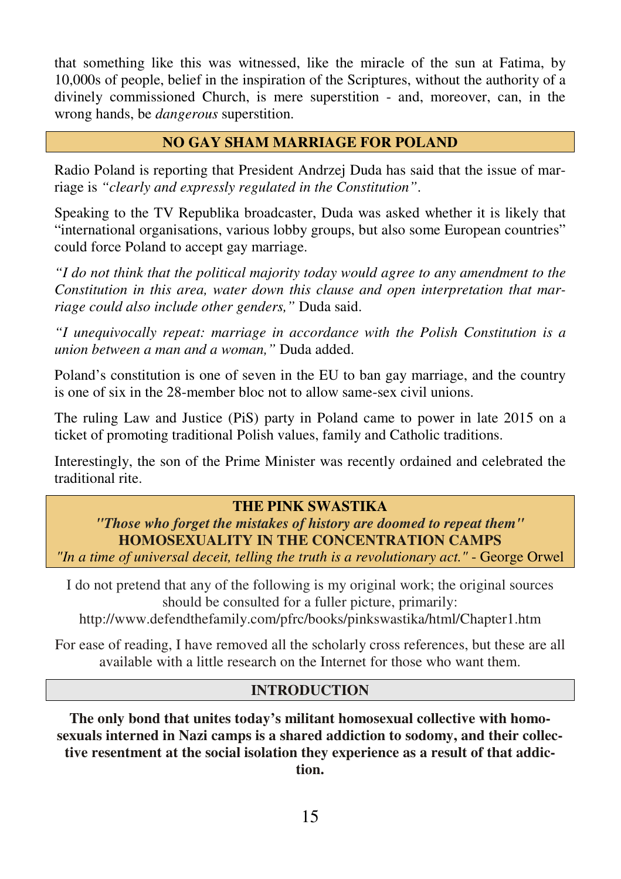that something like this was witnessed, like the miracle of the sun at Fatima, by 10,000s of people, belief in the inspiration of the Scriptures, without the authority of a divinely commissioned Church, is mere superstition - and, moreover, can, in the wrong hands, be *dangerous* superstition.

## **NO GAY SHAM MARRIAGE FOR POLAND**

Radio Poland is reporting that President Andrzej Duda has said that the issue of marriage is *"clearly and expressly regulated in the Constitution"*.

Speaking to the TV Republika broadcaster, Duda was asked whether it is likely that "international organisations, various lobby groups, but also some European countries" could force Poland to accept gay marriage.

*"I do not think that the political majority today would agree to any amendment to the Constitution in this area, water down this clause and open interpretation that marriage could also include other genders,"* Duda said.

*"I unequivocally repeat: marriage in accordance with the Polish Constitution is a union between a man and a woman,"* Duda added.

Poland's constitution is one of seven in the EU to ban gay marriage, and the country is one of six in the 28-member bloc not to allow same-sex civil unions.

The ruling Law and Justice (PiS) party in Poland came to power in late 2015 on a ticket of promoting traditional Polish values, family and Catholic traditions.

Interestingly, the son of the Prime Minister was recently ordained and celebrated the traditional rite.

#### **THE PINK SWASTIKA**

*"Those who forget the mistakes of history are doomed to repeat them"*  **HOMOSEXUALITY IN THE CONCENTRATION CAMPS**  *"In a time of universal deceit, telling the truth is a revolutionary act."* - George Orwel

I do not pretend that any of the following is my original work; the original sources should be consulted for a fuller picture, primarily:

http://www.defendthefamily.com/pfrc/books/pinkswastika/html/Chapter1.htm

For ease of reading, I have removed all the scholarly cross references, but these are all available with a little research on the Internet for those who want them.

#### **INTRODUCTION**

**The only bond that unites today's militant homosexual collective with homosexuals interned in Nazi camps is a shared addiction to sodomy, and their collective resentment at the social isolation they experience as a result of that addiction.**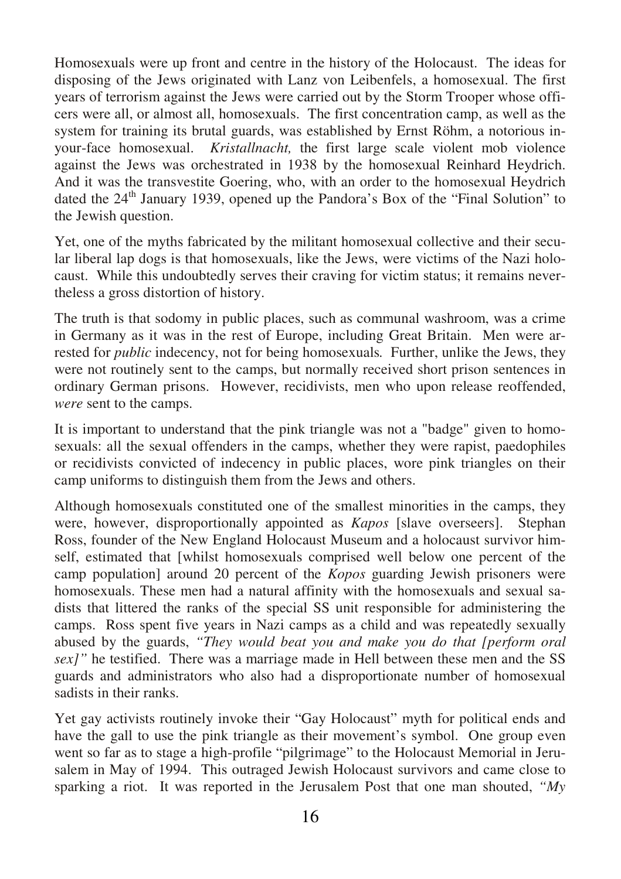Homosexuals were up front and centre in the history of the Holocaust. The ideas for disposing of the Jews originated with Lanz von Leibenfels, a homosexual. The first years of terrorism against the Jews were carried out by the Storm Trooper whose officers were all, or almost all, homosexuals. The first concentration camp, as well as the system for training its brutal guards, was established by Ernst Röhm, a notorious inyour-face homosexual. *Kristallnacht,* the first large scale violent mob violence against the Jews was orchestrated in 1938 by the homosexual Reinhard Heydrich. And it was the transvestite Goering, who, with an order to the homosexual Heydrich dated the 24<sup>th</sup> January 1939, opened up the Pandora's Box of the "Final Solution" to the Jewish question.

Yet, one of the myths fabricated by the militant homosexual collective and their secular liberal lap dogs is that homosexuals, like the Jews, were victims of the Nazi holocaust. While this undoubtedly serves their craving for victim status; it remains nevertheless a gross distortion of history.

The truth is that sodomy in public places, such as communal washroom, was a crime in Germany as it was in the rest of Europe, including Great Britain. Men were arrested for *public* indecency, not for being homosexuals*.* Further, unlike the Jews, they were not routinely sent to the camps, but normally received short prison sentences in ordinary German prisons. However, recidivists, men who upon release reoffended, *were* sent to the camps.

It is important to understand that the pink triangle was not a "badge" given to homosexuals: all the sexual offenders in the camps, whether they were rapist, paedophiles or recidivists convicted of indecency in public places, wore pink triangles on their camp uniforms to distinguish them from the Jews and others.

Although homosexuals constituted one of the smallest minorities in the camps, they were, however, disproportionally appointed as *Kapos* [slave overseers]. Stephan Ross, founder of the New England Holocaust Museum and a holocaust survivor himself, estimated that [whilst homosexuals comprised well below one percent of the camp population] around 20 percent of the *Kopos* guarding Jewish prisoners were homosexuals. These men had a natural affinity with the homosexuals and sexual sadists that littered the ranks of the special SS unit responsible for administering the camps. Ross spent five years in Nazi camps as a child and was repeatedly sexually abused by the guards, *"They would beat you and make you do that [perform oral sex]"* he testified. There was a marriage made in Hell between these men and the SS guards and administrators who also had a disproportionate number of homosexual sadists in their ranks.

Yet gay activists routinely invoke their "Gay Holocaust" myth for political ends and have the gall to use the pink triangle as their movement's symbol. One group even went so far as to stage a high-profile "pilgrimage" to the Holocaust Memorial in Jerusalem in May of 1994. This outraged Jewish Holocaust survivors and came close to sparking a riot. It was reported in the Jerusalem Post that one man shouted, *"My*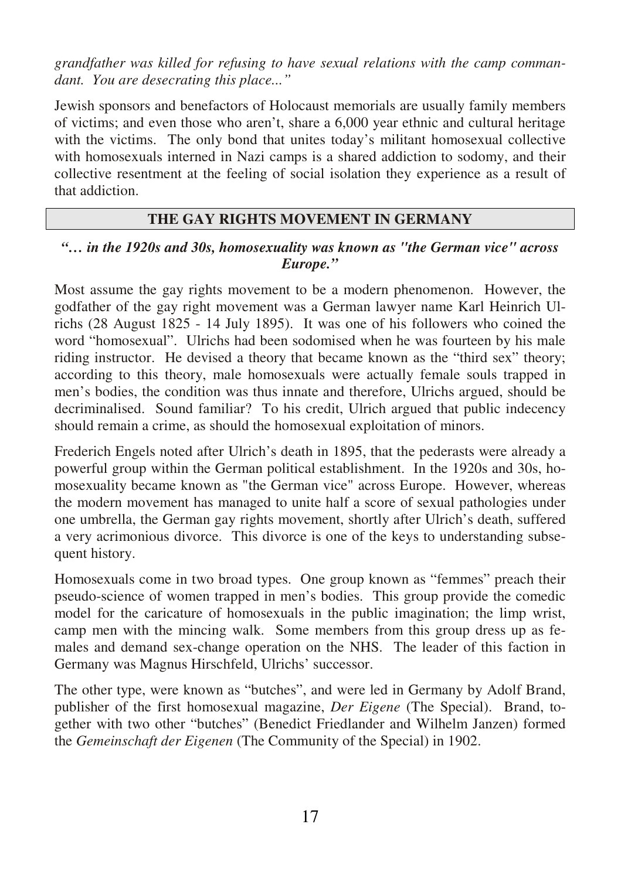*grandfather was killed for refusing to have sexual relations with the camp commandant. You are desecrating this place..."* 

Jewish sponsors and benefactors of Holocaust memorials are usually family members of victims; and even those who aren't, share a 6,000 year ethnic and cultural heritage with the victims. The only bond that unites today's militant homosexual collective with homosexuals interned in Nazi camps is a shared addiction to sodomy, and their collective resentment at the feeling of social isolation they experience as a result of that addiction.

## **THE GAY RIGHTS MOVEMENT IN GERMANY**

#### *"… in the 1920s and 30s, homosexuality was known as "the German vice" across Europe."*

Most assume the gay rights movement to be a modern phenomenon. However, the godfather of the gay right movement was a German lawyer name Karl Heinrich Ulrichs (28 August 1825 - 14 July 1895). It was one of his followers who coined the word "homosexual". Ulrichs had been sodomised when he was fourteen by his male riding instructor. He devised a theory that became known as the "third sex" theory; according to this theory, male homosexuals were actually female souls trapped in men's bodies, the condition was thus innate and therefore, Ulrichs argued, should be decriminalised. Sound familiar? To his credit, Ulrich argued that public indecency should remain a crime, as should the homosexual exploitation of minors.

Frederich Engels noted after Ulrich's death in 1895, that the pederasts were already a powerful group within the German political establishment. In the 1920s and 30s, homosexuality became known as "the German vice" across Europe. However, whereas the modern movement has managed to unite half a score of sexual pathologies under one umbrella, the German gay rights movement, shortly after Ulrich's death, suffered a very acrimonious divorce. This divorce is one of the keys to understanding subsequent history.

Homosexuals come in two broad types. One group known as "femmes" preach their pseudo-science of women trapped in men's bodies. This group provide the comedic model for the caricature of homosexuals in the public imagination; the limp wrist, camp men with the mincing walk. Some members from this group dress up as females and demand sex-change operation on the NHS. The leader of this faction in Germany was Magnus Hirschfeld, Ulrichs' successor.

The other type, were known as "butches", and were led in Germany by Adolf Brand, publisher of the first homosexual magazine, *Der Eigene* (The Special). Brand, together with two other "butches" (Benedict Friedlander and Wilhelm Janzen) formed the *Gemeinschaft der Eigenen* (The Community of the Special) in 1902.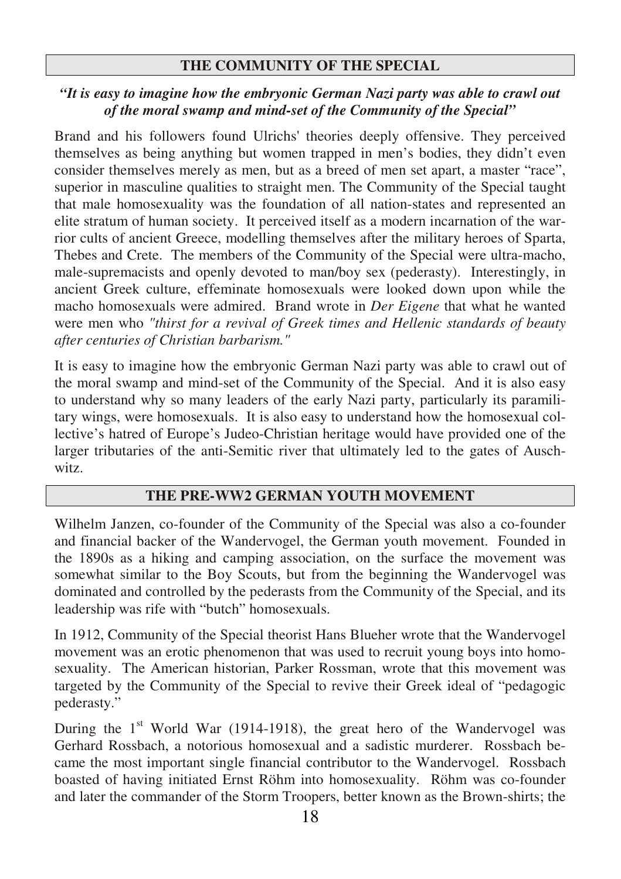#### **THE COMMUNITY OF THE SPECIAL**

#### *"It is easy to imagine how the embryonic German Nazi party was able to crawl out of the moral swamp and mind-set of the Community of the Special"*

Brand and his followers found Ulrichs' theories deeply offensive. They perceived themselves as being anything but women trapped in men's bodies, they didn't even consider themselves merely as men, but as a breed of men set apart, a master "race", superior in masculine qualities to straight men. The Community of the Special taught that male homosexuality was the foundation of all nation-states and represented an elite stratum of human society. It perceived itself as a modern incarnation of the warrior cults of ancient Greece, modelling themselves after the military heroes of Sparta, Thebes and Crete. The members of the Community of the Special were ultra-macho, male-supremacists and openly devoted to man/boy sex (pederasty). Interestingly, in ancient Greek culture, effeminate homosexuals were looked down upon while the macho homosexuals were admired. Brand wrote in *Der Eigene* that what he wanted were men who *"thirst for a revival of Greek times and Hellenic standards of beauty after centuries of Christian barbarism."* 

It is easy to imagine how the embryonic German Nazi party was able to crawl out of the moral swamp and mind-set of the Community of the Special. And it is also easy to understand why so many leaders of the early Nazi party, particularly its paramilitary wings, were homosexuals. It is also easy to understand how the homosexual collective's hatred of Europe's Judeo-Christian heritage would have provided one of the larger tributaries of the anti-Semitic river that ultimately led to the gates of Auschwitz.

#### **THE PRE-WW2 GERMAN YOUTH MOVEMENT**

Wilhelm Janzen, co-founder of the Community of the Special was also a co-founder and financial backer of the Wandervogel, the German youth movement. Founded in the 1890s as a hiking and camping association, on the surface the movement was somewhat similar to the Boy Scouts, but from the beginning the Wandervogel was dominated and controlled by the pederasts from the Community of the Special, and its leadership was rife with "butch" homosexuals.

In 1912, Community of the Special theorist Hans Blueher wrote that the Wandervogel movement was an erotic phenomenon that was used to recruit young boys into homosexuality. The American historian, Parker Rossman, wrote that this movement was targeted by the Community of the Special to revive their Greek ideal of "pedagogic pederasty."

During the  $1<sup>st</sup>$  World War (1914-1918), the great hero of the Wandervogel was Gerhard Rossbach, a notorious homosexual and a sadistic murderer. Rossbach became the most important single financial contributor to the Wandervogel. Rossbach boasted of having initiated Ernst Röhm into homosexuality. Röhm was co-founder and later the commander of the Storm Troopers, better known as the Brown-shirts; the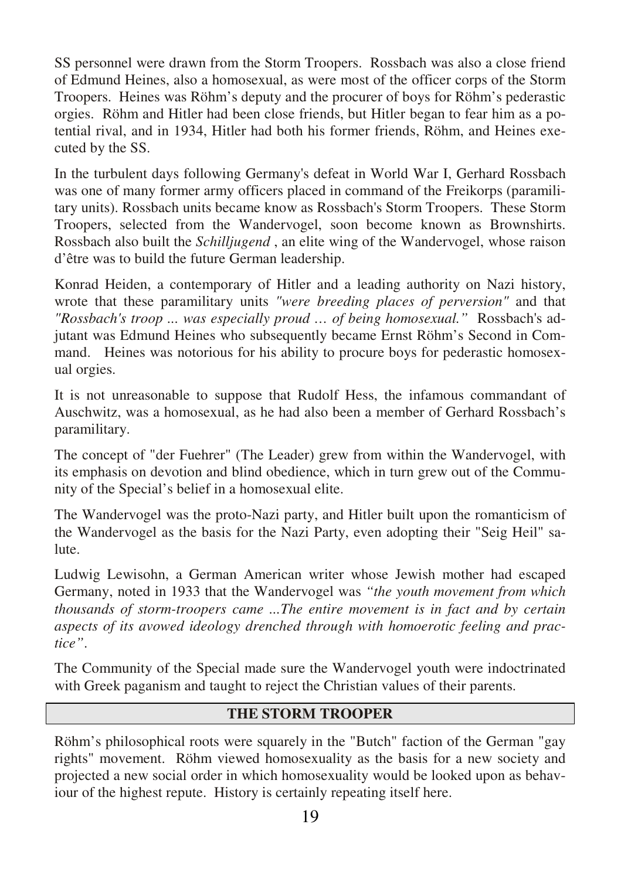SS personnel were drawn from the Storm Troopers. Rossbach was also a close friend of Edmund Heines, also a homosexual, as were most of the officer corps of the Storm Troopers. Heines was Röhm's deputy and the procurer of boys for Röhm's pederastic orgies. Röhm and Hitler had been close friends, but Hitler began to fear him as a potential rival, and in 1934, Hitler had both his former friends, Röhm, and Heines executed by the SS.

In the turbulent days following Germany's defeat in World War I, Gerhard Rossbach was one of many former army officers placed in command of the Freikorps (paramilitary units). Rossbach units became know as Rossbach's Storm Troopers. These Storm Troopers, selected from the Wandervogel, soon become known as Brownshirts. Rossbach also built the *Schilljugend* , an elite wing of the Wandervogel, whose raison d'être was to build the future German leadership.

Konrad Heiden, a contemporary of Hitler and a leading authority on Nazi history, wrote that these paramilitary units *"were breeding places of perversion"* and that *"Rossbach's troop ... was especially proud … of being homosexual."* Rossbach's adjutant was Edmund Heines who subsequently became Ernst Röhm's Second in Command. Heines was notorious for his ability to procure boys for pederastic homosexual orgies.

It is not unreasonable to suppose that Rudolf Hess, the infamous commandant of Auschwitz, was a homosexual, as he had also been a member of Gerhard Rossbach's paramilitary.

The concept of "der Fuehrer" (The Leader) grew from within the Wandervogel, with its emphasis on devotion and blind obedience, which in turn grew out of the Community of the Special's belief in a homosexual elite.

The Wandervogel was the proto-Nazi party, and Hitler built upon the romanticism of the Wandervogel as the basis for the Nazi Party, even adopting their "Seig Heil" salute.

Ludwig Lewisohn, a German American writer whose Jewish mother had escaped Germany, noted in 1933 that the Wandervogel was *"the youth movement from which thousands of storm-troopers came ...The entire movement is in fact and by certain aspects of its avowed ideology drenched through with homoerotic feeling and practice"*.

The Community of the Special made sure the Wandervogel youth were indoctrinated with Greek paganism and taught to reject the Christian values of their parents.

## **THE STORM TROOPER**

Röhm's philosophical roots were squarely in the "Butch" faction of the German "gay rights" movement. Röhm viewed homosexuality as the basis for a new society and projected a new social order in which homosexuality would be looked upon as behaviour of the highest repute. History is certainly repeating itself here.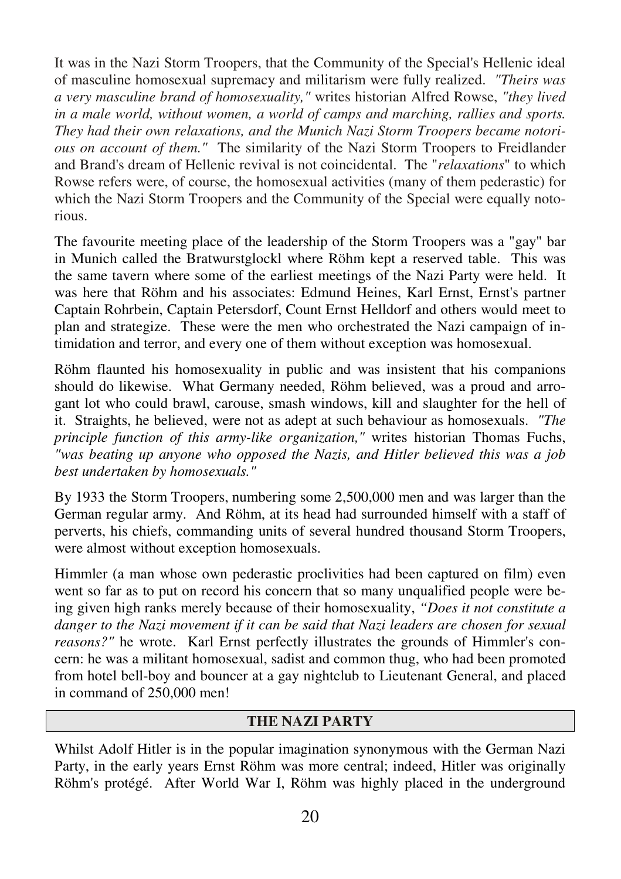It was in the Nazi Storm Troopers, that the Community of the Special's Hellenic ideal of masculine homosexual supremacy and militarism were fully realized. *"Theirs was a very masculine brand of homosexuality,"* writes historian Alfred Rowse, *"they lived in a male world, without women, a world of camps and marching, rallies and sports. They had their own relaxations, and the Munich Nazi Storm Troopers became notorious on account of them."* The similarity of the Nazi Storm Troopers to Freidlander and Brand's dream of Hellenic revival is not coincidental. The "*relaxations*" to which Rowse refers were, of course, the homosexual activities (many of them pederastic) for which the Nazi Storm Troopers and the Community of the Special were equally notorious.

The favourite meeting place of the leadership of the Storm Troopers was a "gay" bar in Munich called the Bratwurstglockl where Röhm kept a reserved table. This was the same tavern where some of the earliest meetings of the Nazi Party were held. It was here that Röhm and his associates: Edmund Heines, Karl Ernst, Ernst's partner Captain Rohrbein, Captain Petersdorf, Count Ernst Helldorf and others would meet to plan and strategize. These were the men who orchestrated the Nazi campaign of intimidation and terror, and every one of them without exception was homosexual.

Röhm flaunted his homosexuality in public and was insistent that his companions should do likewise. What Germany needed, Röhm believed, was a proud and arrogant lot who could brawl, carouse, smash windows, kill and slaughter for the hell of it. Straights, he believed, were not as adept at such behaviour as homosexuals. *"The principle function of this army-like organization,"* writes historian Thomas Fuchs, *"was beating up anyone who opposed the Nazis, and Hitler believed this was a job best undertaken by homosexuals."*

By 1933 the Storm Troopers, numbering some 2,500,000 men and was larger than the German regular army. And Röhm, at its head had surrounded himself with a staff of perverts, his chiefs, commanding units of several hundred thousand Storm Troopers, were almost without exception homosexuals.

Himmler (a man whose own pederastic proclivities had been captured on film) even went so far as to put on record his concern that so many unqualified people were being given high ranks merely because of their homosexuality, *"Does it not constitute a danger to the Nazi movement if it can be said that Nazi leaders are chosen for sexual reasons?"* he wrote. Karl Ernst perfectly illustrates the grounds of Himmler's concern: he was a militant homosexual, sadist and common thug, who had been promoted from hotel bell-boy and bouncer at a gay nightclub to Lieutenant General, and placed in command of 250,000 men!

#### **THE NAZI PARTY**

Whilst Adolf Hitler is in the popular imagination synonymous with the German Nazi Party, in the early years Ernst Röhm was more central; indeed, Hitler was originally Röhm's protégé. After World War I, Röhm was highly placed in the underground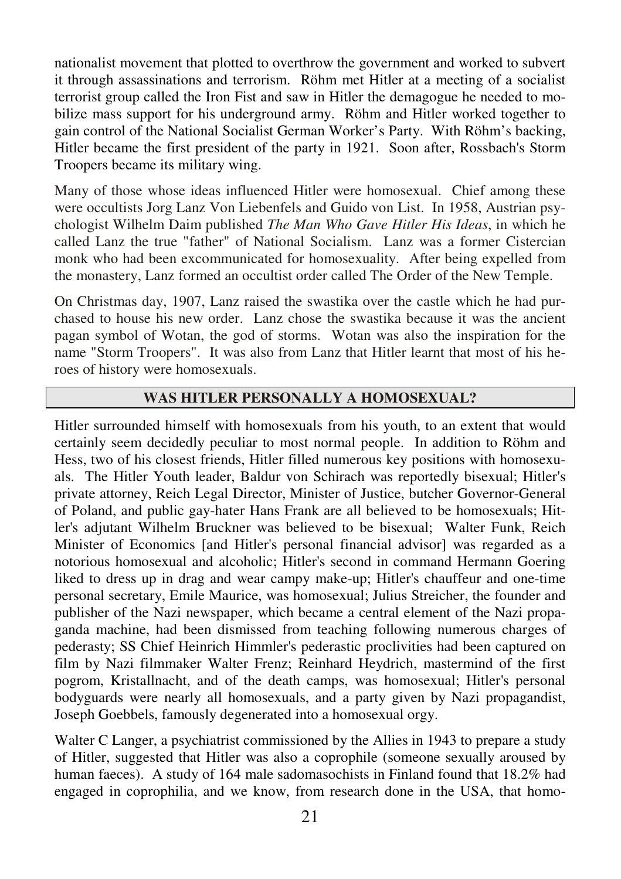nationalist movement that plotted to overthrow the government and worked to subvert it through assassinations and terrorism. Röhm met Hitler at a meeting of a socialist terrorist group called the Iron Fist and saw in Hitler the demagogue he needed to mobilize mass support for his underground army. Röhm and Hitler worked together to gain control of the National Socialist German Worker's Party. With Röhm's backing, Hitler became the first president of the party in 1921. Soon after, Rossbach's Storm Troopers became its military wing.

Many of those whose ideas influenced Hitler were homosexual. Chief among these were occultists Jorg Lanz Von Liebenfels and Guido von List. In 1958, Austrian psychologist Wilhelm Daim published *The Man Who Gave Hitler His Ideas*, in which he called Lanz the true "father" of National Socialism. Lanz was a former Cistercian monk who had been excommunicated for homosexuality. After being expelled from the monastery, Lanz formed an occultist order called The Order of the New Temple.

On Christmas day, 1907, Lanz raised the swastika over the castle which he had purchased to house his new order. Lanz chose the swastika because it was the ancient pagan symbol of Wotan, the god of storms. Wotan was also the inspiration for the name "Storm Troopers". It was also from Lanz that Hitler learnt that most of his heroes of history were homosexuals.

#### **WAS HITLER PERSONALLY A HOMOSEXUAL?**

Hitler surrounded himself with homosexuals from his youth, to an extent that would certainly seem decidedly peculiar to most normal people. In addition to Röhm and Hess, two of his closest friends, Hitler filled numerous key positions with homosexuals. The Hitler Youth leader, Baldur von Schirach was reportedly bisexual; Hitler's private attorney, Reich Legal Director, Minister of Justice, butcher Governor-General of Poland, and public gay-hater Hans Frank are all believed to be homosexuals; Hitler's adjutant Wilhelm Bruckner was believed to be bisexual; Walter Funk, Reich Minister of Economics [and Hitler's personal financial advisor] was regarded as a notorious homosexual and alcoholic; Hitler's second in command Hermann Goering liked to dress up in drag and wear campy make-up; Hitler's chauffeur and one-time personal secretary, Emile Maurice, was homosexual; Julius Streicher, the founder and publisher of the Nazi newspaper, which became a central element of the Nazi propaganda machine, had been dismissed from teaching following numerous charges of pederasty; SS Chief Heinrich Himmler's pederastic proclivities had been captured on film by Nazi filmmaker Walter Frenz; Reinhard Heydrich, mastermind of the first pogrom, Kristallnacht, and of the death camps, was homosexual; Hitler's personal bodyguards were nearly all homosexuals, and a party given by Nazi propagandist, Joseph Goebbels, famously degenerated into a homosexual orgy.

Walter C Langer, a psychiatrist commissioned by the Allies in 1943 to prepare a study of Hitler, suggested that Hitler was also a coprophile (someone sexually aroused by human faeces). A study of 164 male sadomasochists in Finland found that 18.2% had engaged in coprophilia, and we know, from research done in the USA, that homo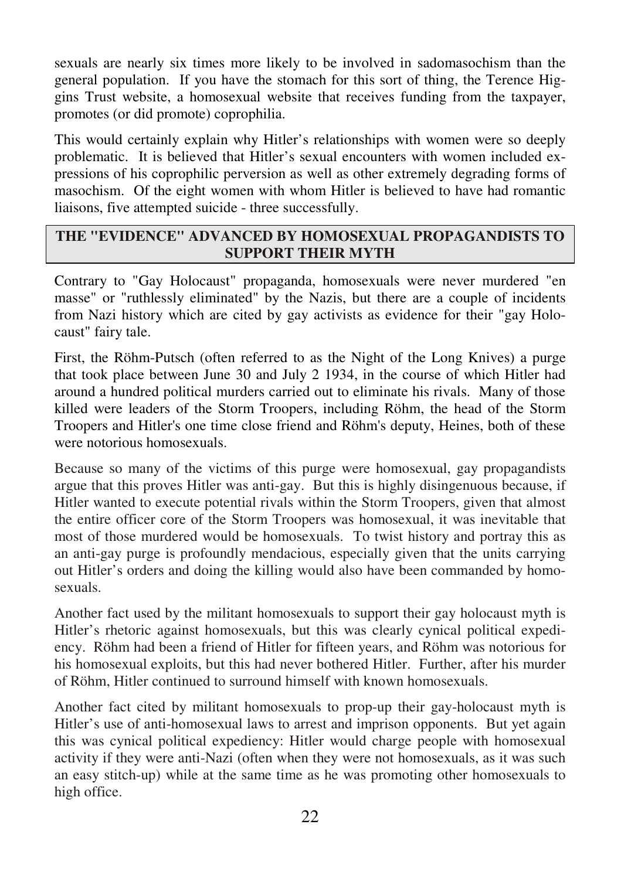sexuals are nearly six times more likely to be involved in sadomasochism than the general population. If you have the stomach for this sort of thing, the Terence Higgins Trust website, a homosexual website that receives funding from the taxpayer, promotes (or did promote) coprophilia.

This would certainly explain why Hitler's relationships with women were so deeply problematic. It is believed that Hitler's sexual encounters with women included expressions of his coprophilic perversion as well as other extremely degrading forms of masochism. Of the eight women with whom Hitler is believed to have had romantic liaisons, five attempted suicide - three successfully.

## **THE "EVIDENCE" ADVANCED BY HOMOSEXUAL PROPAGANDISTS TO SUPPORT THEIR MYTH**

Contrary to "Gay Holocaust" propaganda, homosexuals were never murdered "en masse" or "ruthlessly eliminated" by the Nazis, but there are a couple of incidents from Nazi history which are cited by gay activists as evidence for their "gay Holocaust" fairy tale.

First, the Röhm-Putsch (often referred to as the Night of the Long Knives) a purge that took place between June 30 and July 2 1934, in the course of which Hitler had around a hundred political murders carried out to eliminate his rivals. Many of those killed were leaders of the Storm Troopers, including Röhm, the head of the Storm Troopers and Hitler's one time close friend and Röhm's deputy, Heines, both of these were notorious homosexuals.

Because so many of the victims of this purge were homosexual, gay propagandists argue that this proves Hitler was anti-gay. But this is highly disingenuous because, if Hitler wanted to execute potential rivals within the Storm Troopers, given that almost the entire officer core of the Storm Troopers was homosexual, it was inevitable that most of those murdered would be homosexuals. To twist history and portray this as an anti-gay purge is profoundly mendacious, especially given that the units carrying out Hitler's orders and doing the killing would also have been commanded by homosexuals.

Another fact used by the militant homosexuals to support their gay holocaust myth is Hitler's rhetoric against homosexuals, but this was clearly cynical political expediency. Röhm had been a friend of Hitler for fifteen years, and Röhm was notorious for his homosexual exploits, but this had never bothered Hitler. Further, after his murder of Röhm, Hitler continued to surround himself with known homosexuals.

Another fact cited by militant homosexuals to prop-up their gay-holocaust myth is Hitler's use of anti-homosexual laws to arrest and imprison opponents. But yet again this was cynical political expediency: Hitler would charge people with homosexual activity if they were anti-Nazi (often when they were not homosexuals, as it was such an easy stitch-up) while at the same time as he was promoting other homosexuals to high office.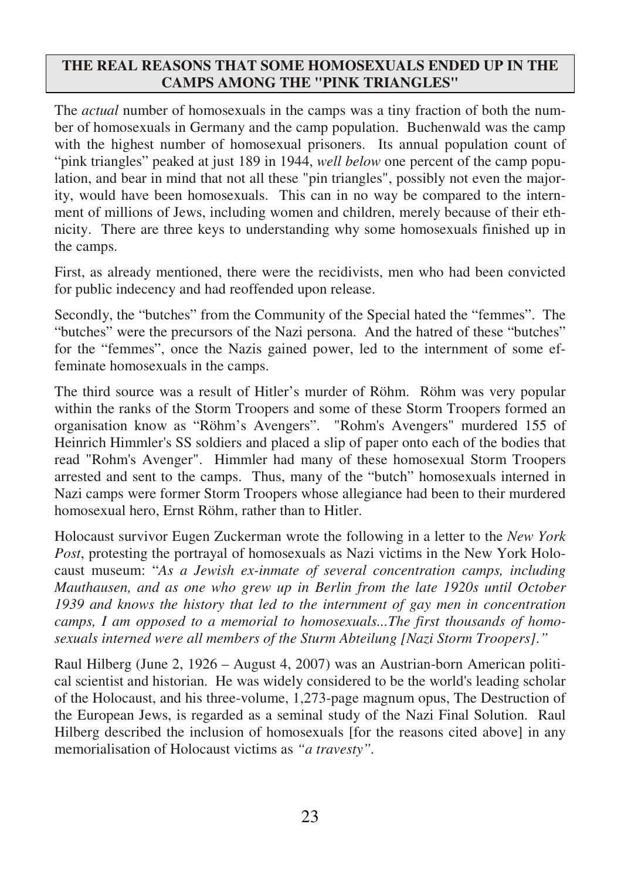#### **THE REAL REASONS THAT SOME HOMOSEXUALS ENDED UP IN THE CAMPS AMONG THE "PINK TRIANGLES"**

The *actual* number of homosexuals in the camps was a tiny fraction of both the number of homosexuals in Germany and the camp population. Buchenwald was the camp with the highest number of homosexual prisoners. Its annual population count of "pink triangles" peaked at just 189 in 1944, *well below* one percent of the camp population, and bear in mind that not all these "pin triangles", possibly not even the majority, would have been homosexuals. This can in no way be compared to the internment of millions of Jews, including women and children, merely because of their ethnicity. There are three keys to understanding why some homosexuals finished up in the camps.

First, as already mentioned, there were the recidivists, men who had been convicted for public indecency and had reoffended upon release.

Secondly, the "butches" from the Community of the Special hated the "femmes". The "butches" were the precursors of the Nazi persona. And the hatred of these "butches" for the "femmes", once the Nazis gained power, led to the internment of some effeminate homosexuals in the camps.

The third source was a result of Hitler's murder of Röhm. Röhm was very popular within the ranks of the Storm Troopers and some of these Storm Troopers formed an organisation know as "Röhm's Avengers". "Rohm's Avengers" murdered 155 of Heinrich Himmler's SS soldiers and placed a slip of paper onto each of the bodies that read "Rohm's Avenger". Himmler had many of these homosexual Storm Troopers arrested and sent to the camps. Thus, many of the "butch" homosexuals interned in Nazi camps were former Storm Troopers whose allegiance had been to their murdered homosexual hero, Ernst Röhm, rather than to Hitler.

Holocaust survivor Eugen Zuckerman wrote the following in a letter to the *New York Post*, protesting the portrayal of homosexuals as Nazi victims in the New York Holocaust museum: "*As a Jewish ex-inmate of several concentration camps, including Mauthausen, and as one who grew up in Berlin from the late 1920s until October 1939 and knows the history that led to the internment of gay men in concentration camps, I am opposed to a memorial to homosexuals...The first thousands of homosexuals interned were all members of the Sturm Abteilung [Nazi Storm Troopers]."*

Raul Hilberg (June 2, 1926 – August 4, 2007) was an Austrian-born American political scientist and historian. He was widely considered to be the world's leading scholar of the Holocaust, and his three-volume, 1,273-page magnum opus, The Destruction of the European Jews, is regarded as a seminal study of the Nazi Final Solution. Raul Hilberg described the inclusion of homosexuals [for the reasons cited above] in any memorialisation of Holocaust victims as *"a travesty".*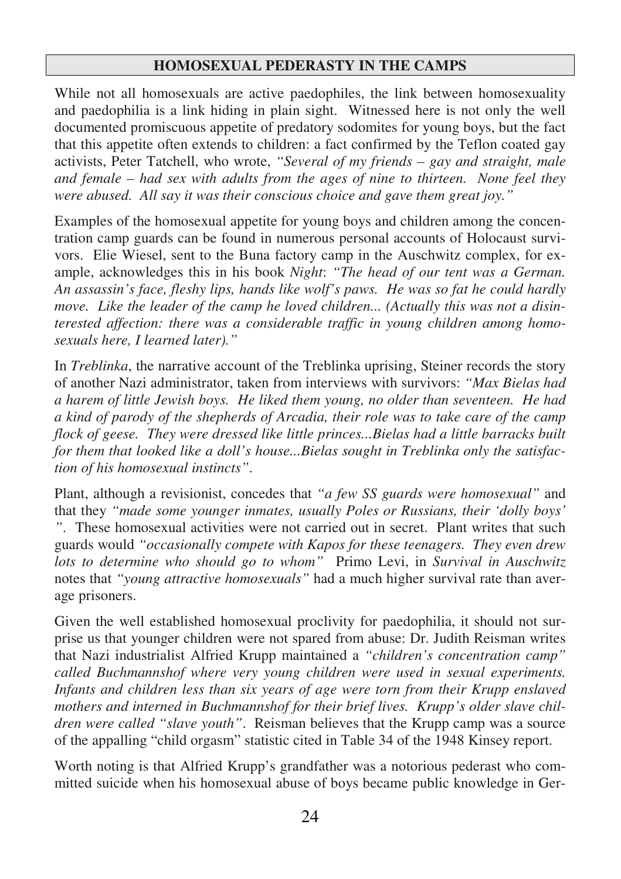#### **HOMOSEXUAL PEDERASTY IN THE CAMPS**

While not all homosexuals are active paedophiles, the link between homosexuality and paedophilia is a link hiding in plain sight. Witnessed here is not only the well documented promiscuous appetite of predatory sodomites for young boys, but the fact that this appetite often extends to children: a fact confirmed by the Teflon coated gay activists, Peter Tatchell, who wrote, *"Several of my friends – gay and straight, male and female – had sex with adults from the ages of nine to thirteen. None feel they were abused. All say it was their conscious choice and gave them great joy."*

Examples of the homosexual appetite for young boys and children among the concentration camp guards can be found in numerous personal accounts of Holocaust survivors. Elie Wiesel, sent to the Buna factory camp in the Auschwitz complex, for example, acknowledges this in his book *Night*: *"The head of our tent was a German. An assassin's face, fleshy lips, hands like wolf's paws. He was so fat he could hardly move. Like the leader of the camp he loved children... (Actually this was not a disinterested affection: there was a considerable traffic in young children among homosexuals here, I learned later)."* 

In *Treblinka*, the narrative account of the Treblinka uprising, Steiner records the story of another Nazi administrator, taken from interviews with survivors: *"Max Bielas had a harem of little Jewish boys. He liked them young, no older than seventeen. He had a kind of parody of the shepherds of Arcadia, their role was to take care of the camp flock of geese. They were dressed like little princes...Bielas had a little barracks built for them that looked like a doll's house...Bielas sought in Treblinka only the satisfaction of his homosexual instincts"*.

Plant, although a revisionist, concedes that *"a few SS guards were homosexual"* and that they *"made some younger inmates, usually Poles or Russians, their 'dolly boys' "*. These homosexual activities were not carried out in secret. Plant writes that such guards would *"occasionally compete with Kapos for these teenagers. They even drew lots to determine who should go to whom"* Primo Levi, in *Survival in Auschwitz* notes that *"young attractive homosexuals"* had a much higher survival rate than average prisoners.

Given the well established homosexual proclivity for paedophilia, it should not surprise us that younger children were not spared from abuse: Dr. Judith Reisman writes that Nazi industrialist Alfried Krupp maintained a *"children's concentration camp" called Buchmannshof where very young children were used in sexual experiments. Infants and children less than six years of age were torn from their Krupp enslaved mothers and interned in Buchmannshof for their brief lives. Krupp's older slave children were called "slave youth"*. Reisman believes that the Krupp camp was a source of the appalling "child orgasm" statistic cited in Table 34 of the 1948 Kinsey report.

Worth noting is that Alfried Krupp's grandfather was a notorious pederast who committed suicide when his homosexual abuse of boys became public knowledge in Ger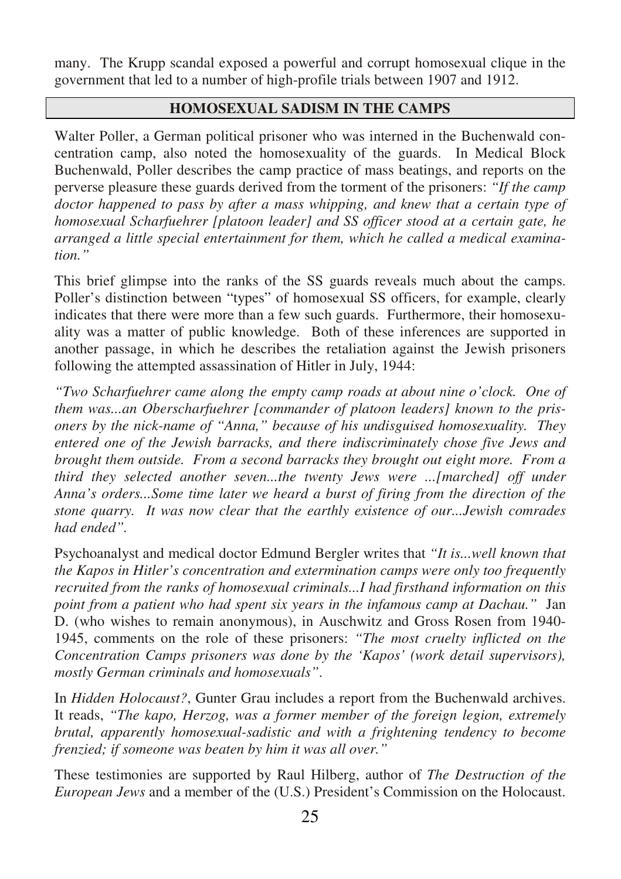many. The Krupp scandal exposed a powerful and corrupt homosexual clique in the government that led to a number of high-profile trials between 1907 and 1912.

## **HOMOSEXUAL SADISM IN THE CAMPS**

Walter Poller, a German political prisoner who was interned in the Buchenwald concentration camp, also noted the homosexuality of the guards. In Medical Block Buchenwald, Poller describes the camp practice of mass beatings, and reports on the perverse pleasure these guards derived from the torment of the prisoners: *"If the camp doctor happened to pass by after a mass whipping, and knew that a certain type of homosexual Scharfuehrer [platoon leader] and SS officer stood at a certain gate, he arranged a little special entertainment for them, which he called a medical examination."*

This brief glimpse into the ranks of the SS guards reveals much about the camps. Poller's distinction between "types" of homosexual SS officers, for example, clearly indicates that there were more than a few such guards. Furthermore, their homosexuality was a matter of public knowledge. Both of these inferences are supported in another passage, in which he describes the retaliation against the Jewish prisoners following the attempted assassination of Hitler in July, 1944:

*"Two Scharfuehrer came along the empty camp roads at about nine o'clock. One of them was...an Oberscharfuehrer [commander of platoon leaders] known to the prisoners by the nick-name of "Anna," because of his undisguised homosexuality. They entered one of the Jewish barracks, and there indiscriminately chose five Jews and brought them outside. From a second barracks they brought out eight more. From a third they selected another seven...the twenty Jews were ...[marched] off under Anna's orders...Some time later we heard a burst of firing from the direction of the stone quarry. It was now clear that the earthly existence of our...Jewish comrades had ended".*

Psychoanalyst and medical doctor Edmund Bergler writes that *"It is...well known that the Kapos in Hitler's concentration and extermination camps were only too frequently recruited from the ranks of homosexual criminals...I had firsthand information on this point from a patient who had spent six years in the infamous camp at Dachau."* Jan D. (who wishes to remain anonymous), in Auschwitz and Gross Rosen from 1940- 1945, comments on the role of these prisoners: *"The most cruelty inflicted on the Concentration Camps prisoners was done by the 'Kapos' (work detail supervisors), mostly German criminals and homosexuals"*.

In *Hidden Holocaust?*, Gunter Grau includes a report from the Buchenwald archives. It reads, *"The kapo, Herzog, was a former member of the foreign legion, extremely brutal, apparently homosexual-sadistic and with a frightening tendency to become frenzied; if someone was beaten by him it was all over."* 

These testimonies are supported by Raul Hilberg, author of *The Destruction of the European Jews* and a member of the (U.S.) President's Commission on the Holocaust.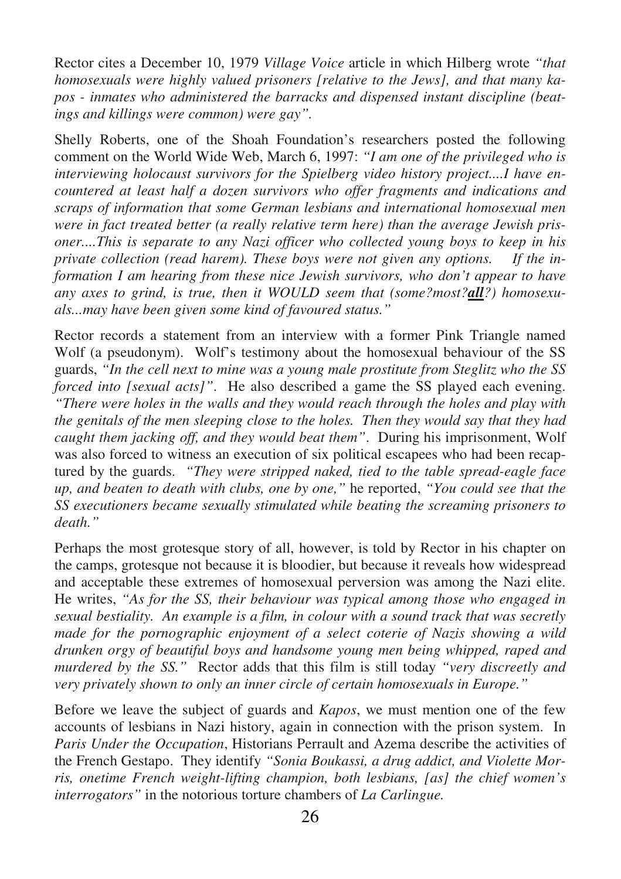Rector cites a December 10, 1979 *Village Voice* article in which Hilberg wrote *"that homosexuals were highly valued prisoners [relative to the Jews], and that many kapos - inmates who administered the barracks and dispensed instant discipline (beatings and killings were common) were gay".* 

Shelly Roberts, one of the Shoah Foundation's researchers posted the following comment on the World Wide Web, March 6, 1997: *"I am one of the privileged who is interviewing holocaust survivors for the Spielberg video history project....I have encountered at least half a dozen survivors who offer fragments and indications and scraps of information that some German lesbians and international homosexual men were in fact treated better (a really relative term here) than the average Jewish prisoner....This is separate to any Nazi officer who collected young boys to keep in his private collection (read harem). These boys were not given any options. If the information I am hearing from these nice Jewish survivors, who don't appear to have any axes to grind, is true, then it WOULD seem that (some?most?all?) homosexuals...may have been given some kind of favoured status."*

Rector records a statement from an interview with a former Pink Triangle named Wolf (a pseudonym). Wolf's testimony about the homosexual behaviour of the SS guards, *"In the cell next to mine was a young male prostitute from Steglitz who the SS forced into [sexual acts]"*. He also described a game the SS played each evening. *"There were holes in the walls and they would reach through the holes and play with the genitals of the men sleeping close to the holes. Then they would say that they had caught them jacking off, and they would beat them"*. During his imprisonment, Wolf was also forced to witness an execution of six political escapees who had been recaptured by the guards. *"They were stripped naked, tied to the table spread-eagle face up, and beaten to death with clubs, one by one,"* he reported, *"You could see that the SS executioners became sexually stimulated while beating the screaming prisoners to death."*

Perhaps the most grotesque story of all, however, is told by Rector in his chapter on the camps, grotesque not because it is bloodier, but because it reveals how widespread and acceptable these extremes of homosexual perversion was among the Nazi elite. He writes, *"As for the SS, their behaviour was typical among those who engaged in sexual bestiality. An example is a film, in colour with a sound track that was secretly made for the pornographic enjoyment of a select coterie of Nazis showing a wild drunken orgy of beautiful boys and handsome young men being whipped, raped and murdered by the SS."* Rector adds that this film is still today *"very discreetly and very privately shown to only an inner circle of certain homosexuals in Europe."*

Before we leave the subject of guards and *Kapos*, we must mention one of the few accounts of lesbians in Nazi history, again in connection with the prison system. In *Paris Under the Occupation*, Historians Perrault and Azema describe the activities of the French Gestapo. They identify *"Sonia Boukassi, a drug addict, and Violette Morris, onetime French weight-lifting champion, both lesbians, [as] the chief women's interrogators"* in the notorious torture chambers of *La Carlingue.*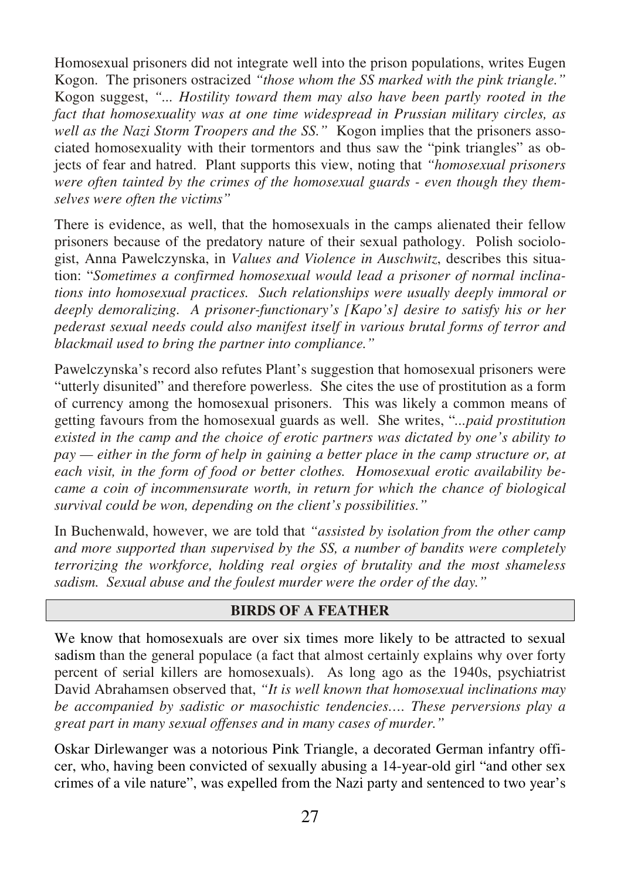Homosexual prisoners did not integrate well into the prison populations, writes Eugen Kogon. The prisoners ostracized *"those whom the SS marked with the pink triangle."* Kogon suggest, *"... Hostility toward them may also have been partly rooted in the fact that homosexuality was at one time widespread in Prussian military circles, as well as the Nazi Storm Troopers and the SS."* Kogon implies that the prisoners associated homosexuality with their tormentors and thus saw the "pink triangles" as objects of fear and hatred. Plant supports this view, noting that *"homosexual prisoners were often tainted by the crimes of the homosexual guards - even though they themselves were often the victims"*

There is evidence, as well, that the homosexuals in the camps alienated their fellow prisoners because of the predatory nature of their sexual pathology. Polish sociologist, Anna Pawelczynska, in *Values and Violence in Auschwitz*, describes this situation: "*Sometimes a confirmed homosexual would lead a prisoner of normal inclinations into homosexual practices. Such relationships were usually deeply immoral or deeply demoralizing. A prisoner-functionary's [Kapo's] desire to satisfy his or her pederast sexual needs could also manifest itself in various brutal forms of terror and blackmail used to bring the partner into compliance."*

Pawelczynska's record also refutes Plant's suggestion that homosexual prisoners were "utterly disunited" and therefore powerless. She cites the use of prostitution as a form of currency among the homosexual prisoners. This was likely a common means of getting favours from the homosexual guards as well. She writes, "*...paid prostitution existed in the camp and the choice of erotic partners was dictated by one's ability to pay — either in the form of help in gaining a better place in the camp structure or, at each visit, in the form of food or better clothes. Homosexual erotic availability became a coin of incommensurate worth, in return for which the chance of biological survival could be won, depending on the client's possibilities."* 

In Buchenwald, however, we are told that *"assisted by isolation from the other camp and more supported than supervised by the SS, a number of bandits were completely terrorizing the workforce, holding real orgies of brutality and the most shameless sadism. Sexual abuse and the foulest murder were the order of the day."* 

#### **BIRDS OF A FEATHER**

We know that homosexuals are over six times more likely to be attracted to sexual sadism than the general populace (a fact that almost certainly explains why over forty percent of serial killers are homosexuals). As long ago as the 1940s, psychiatrist David Abrahamsen observed that, *"It is well known that homosexual inclinations may be accompanied by sadistic or masochistic tendencies…. These perversions play a great part in many sexual offenses and in many cases of murder."*

Oskar Dirlewanger was a notorious Pink Triangle, a decorated German infantry officer, who, having been convicted of sexually abusing a 14-year-old girl "and other sex crimes of a vile nature", was expelled from the Nazi party and sentenced to two year's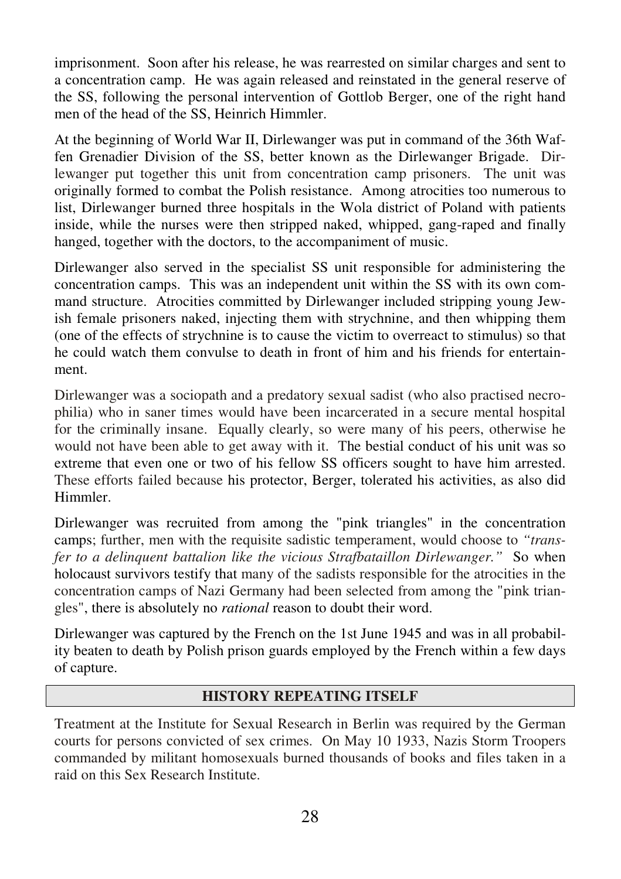imprisonment. Soon after his release, he was rearrested on similar charges and sent to a concentration camp. He was again released and reinstated in the general reserve of the SS, following the personal intervention of Gottlob Berger, one of the right hand men of the head of the SS, Heinrich Himmler.

At the beginning of World War II, Dirlewanger was put in command of the 36th Waffen Grenadier Division of the SS, better known as the Dirlewanger Brigade. Dirlewanger put together this unit from concentration camp prisoners. The unit was originally formed to combat the Polish resistance. Among atrocities too numerous to list, Dirlewanger burned three hospitals in the Wola district of Poland with patients inside, while the nurses were then stripped naked, whipped, gang-raped and finally hanged, together with the doctors, to the accompaniment of music.

Dirlewanger also served in the specialist SS unit responsible for administering the concentration camps. This was an independent unit within the SS with its own command structure. Atrocities committed by Dirlewanger included stripping young Jewish female prisoners naked, injecting them with strychnine, and then whipping them (one of the effects of strychnine is to cause the victim to overreact to stimulus) so that he could watch them convulse to death in front of him and his friends for entertainment.

Dirlewanger was a sociopath and a predatory sexual sadist (who also practised necrophilia) who in saner times would have been incarcerated in a secure mental hospital for the criminally insane. Equally clearly, so were many of his peers, otherwise he would not have been able to get away with it. The bestial conduct of his unit was so extreme that even one or two of his fellow SS officers sought to have him arrested. These efforts failed because his protector, Berger, tolerated his activities, as also did Himmler.

Dirlewanger was recruited from among the "pink triangles" in the concentration camps; further, men with the requisite sadistic temperament, would choose to *"transfer to a delinquent battalion like the vicious Strafbataillon Dirlewanger."* So when holocaust survivors testify that many of the sadists responsible for the atrocities in the concentration camps of Nazi Germany had been selected from among the "pink triangles", there is absolutely no *rational* reason to doubt their word.

Dirlewanger was captured by the French on the 1st June 1945 and was in all probability beaten to death by Polish prison guards employed by the French within a few days of capture.

#### **HISTORY REPEATING ITSELF**

Treatment at the Institute for Sexual Research in Berlin was required by the German courts for persons convicted of sex crimes. On May 10 1933, Nazis Storm Troopers commanded by militant homosexuals burned thousands of books and files taken in a raid on this Sex Research Institute.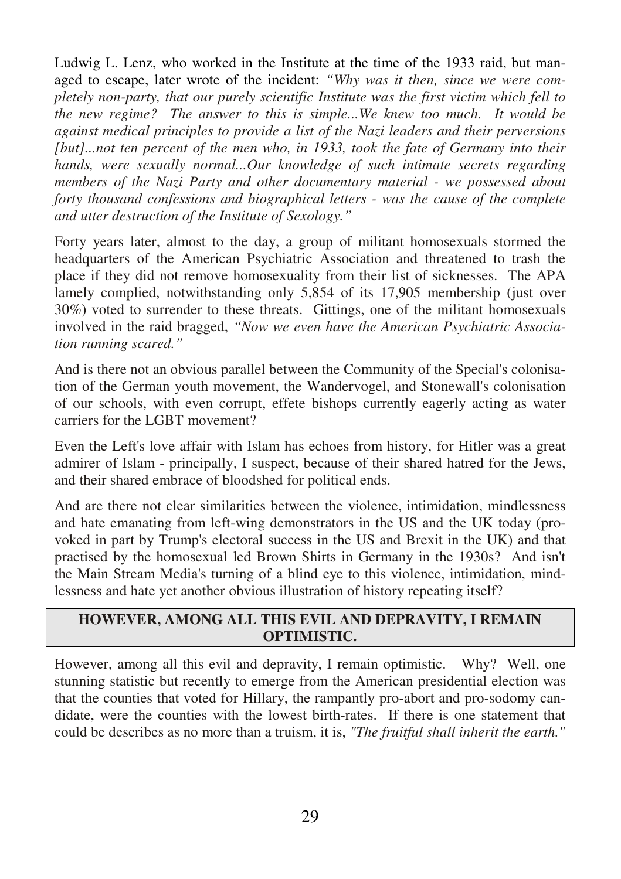Ludwig L. Lenz, who worked in the Institute at the time of the 1933 raid, but managed to escape, later wrote of the incident: *"Why was it then, since we were completely non-party, that our purely scientific Institute was the first victim which fell to the new regime? The answer to this is simple...We knew too much. It would be against medical principles to provide a list of the Nazi leaders and their perversions [but]...not ten percent of the men who, in 1933, took the fate of Germany into their hands, were sexually normal...Our knowledge of such intimate secrets regarding members of the Nazi Party and other documentary material - we possessed about forty thousand confessions and biographical letters - was the cause of the complete and utter destruction of the Institute of Sexology."* 

Forty years later, almost to the day, a group of militant homosexuals stormed the headquarters of the American Psychiatric Association and threatened to trash the place if they did not remove homosexuality from their list of sicknesses. The APA lamely complied, notwithstanding only 5,854 of its 17,905 membership (just over 30%) voted to surrender to these threats. Gittings, one of the militant homosexuals involved in the raid bragged, *"Now we even have the American Psychiatric Association running scared."*

And is there not an obvious parallel between the Community of the Special's colonisation of the German youth movement, the Wandervogel, and Stonewall's colonisation of our schools, with even corrupt, effete bishops currently eagerly acting as water carriers for the LGBT movement?

Even the Left's love affair with Islam has echoes from history, for Hitler was a great admirer of Islam - principally, I suspect, because of their shared hatred for the Jews, and their shared embrace of bloodshed for political ends.

And are there not clear similarities between the violence, intimidation, mindlessness and hate emanating from left-wing demonstrators in the US and the UK today (provoked in part by Trump's electoral success in the US and Brexit in the UK) and that practised by the homosexual led Brown Shirts in Germany in the 1930s? And isn't the Main Stream Media's turning of a blind eye to this violence, intimidation, mindlessness and hate yet another obvious illustration of history repeating itself?

#### **HOWEVER, AMONG ALL THIS EVIL AND DEPRAVITY, I REMAIN OPTIMISTIC.**

However, among all this evil and depravity, I remain optimistic. Why? Well, one stunning statistic but recently to emerge from the American presidential election was that the counties that voted for Hillary, the rampantly pro-abort and pro-sodomy candidate, were the counties with the lowest birth-rates. If there is one statement that could be describes as no more than a truism, it is, *"The fruitful shall inherit the earth."*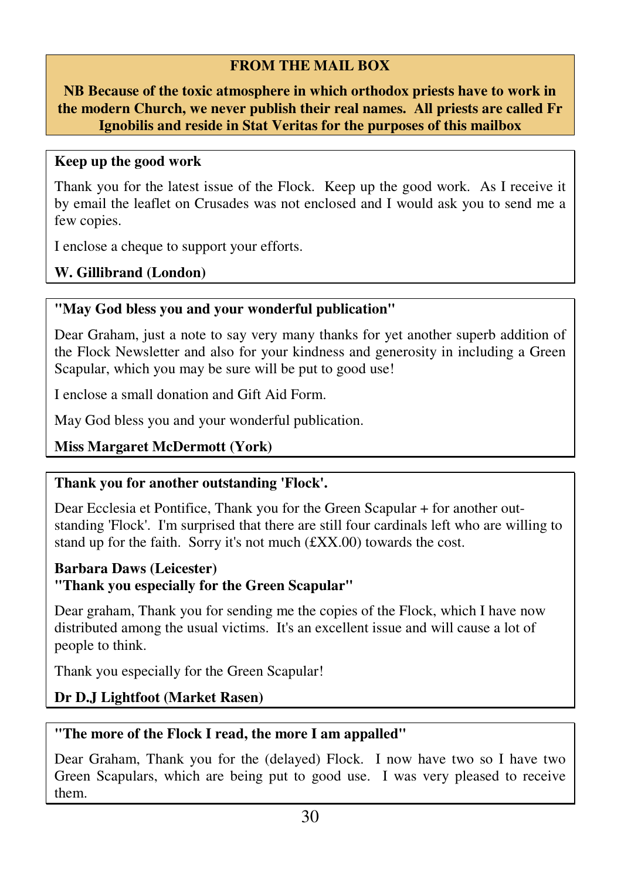## **FROM THE MAIL BOX**

**NB Because of the toxic atmosphere in which orthodox priests have to work in the modern Church, we never publish their real names. All priests are called Fr Ignobilis and reside in Stat Veritas for the purposes of this mailbox** 

#### **Keep up the good work**

Thank you for the latest issue of the Flock. Keep up the good work. As I receive it by email the leaflet on Crusades was not enclosed and I would ask you to send me a few copies.

I enclose a cheque to support your efforts.

**W. Gillibrand (London)** 

#### **"May God bless you and your wonderful publication"**

Dear Graham, just a note to say very many thanks for yet another superb addition of the Flock Newsletter and also for your kindness and generosity in including a Green Scapular, which you may be sure will be put to good use!

I enclose a small donation and Gift Aid Form.

May God bless you and your wonderful publication.

## **Miss Margaret McDermott (York)**

#### **Thank you for another outstanding 'Flock'.**

Dear Ecclesia et Pontifice, Thank you for the Green Scapular + for another outstanding 'Flock'. I'm surprised that there are still four cardinals left who are willing to stand up for the faith. Sorry it's not much  $(fXX.00)$  towards the cost.

## **Barbara Daws (Leicester) "Thank you especially for the Green Scapular"**

Dear graham, Thank you for sending me the copies of the Flock, which I have now distributed among the usual victims. It's an excellent issue and will cause a lot of people to think.

Thank you especially for the Green Scapular!

## **Dr D.J Lightfoot (Market Rasen)**

#### **"The more of the Flock I read, the more I am appalled"**

Dear Graham, Thank you for the (delayed) Flock. I now have two so I have two Green Scapulars, which are being put to good use. I was very pleased to receive them.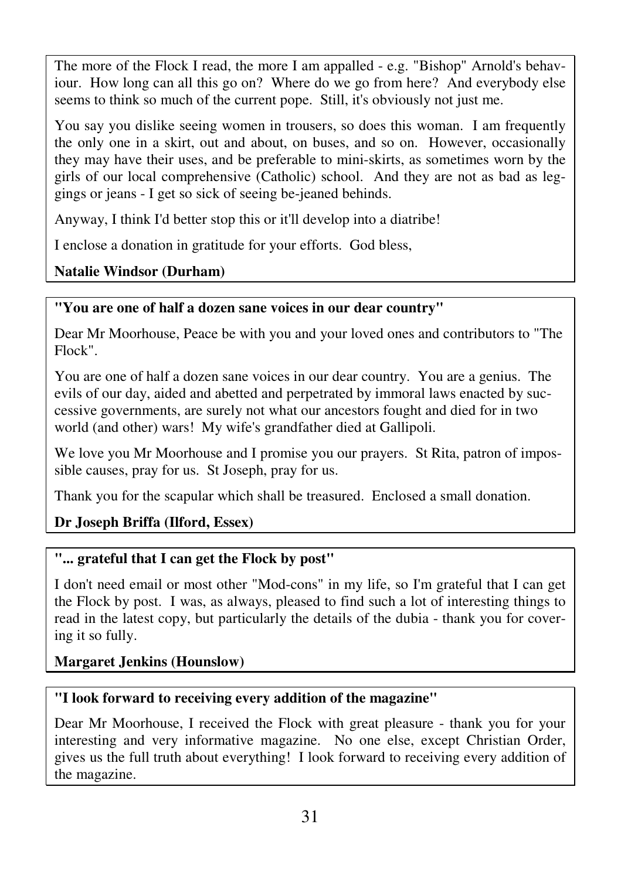The more of the Flock I read, the more I am appalled - e.g. "Bishop" Arnold's behaviour. How long can all this go on? Where do we go from here? And everybody else seems to think so much of the current pope. Still, it's obviously not just me.

You say you dislike seeing women in trousers, so does this woman. I am frequently the only one in a skirt, out and about, on buses, and so on. However, occasionally they may have their uses, and be preferable to mini-skirts, as sometimes worn by the girls of our local comprehensive (Catholic) school. And they are not as bad as leggings or jeans - I get so sick of seeing be-jeaned behinds.

Anyway, I think I'd better stop this or it'll develop into a diatribe!

I enclose a donation in gratitude for your efforts. God bless,

## **Natalie Windsor (Durham)**

## **"You are one of half a dozen sane voices in our dear country"**

Dear Mr Moorhouse, Peace be with you and your loved ones and contributors to "The Flock".

You are one of half a dozen sane voices in our dear country. You are a genius. The evils of our day, aided and abetted and perpetrated by immoral laws enacted by successive governments, are surely not what our ancestors fought and died for in two world (and other) wars! My wife's grandfather died at Gallipoli.

We love you Mr Moorhouse and I promise you our prayers. St Rita, patron of impossible causes, pray for us. St Joseph, pray for us.

Thank you for the scapular which shall be treasured. Enclosed a small donation.

## **Dr Joseph Briffa (Ilford, Essex)**

## **"... grateful that I can get the Flock by post"**

I don't need email or most other "Mod-cons" in my life, so I'm grateful that I can get the Flock by post. I was, as always, pleased to find such a lot of interesting things to read in the latest copy, but particularly the details of the dubia - thank you for covering it so fully.

## **Margaret Jenkins (Hounslow)**

## **"I look forward to receiving every addition of the magazine"**

Dear Mr Moorhouse, I received the Flock with great pleasure - thank you for your interesting and very informative magazine. No one else, except Christian Order, gives us the full truth about everything! I look forward to receiving every addition of the magazine.